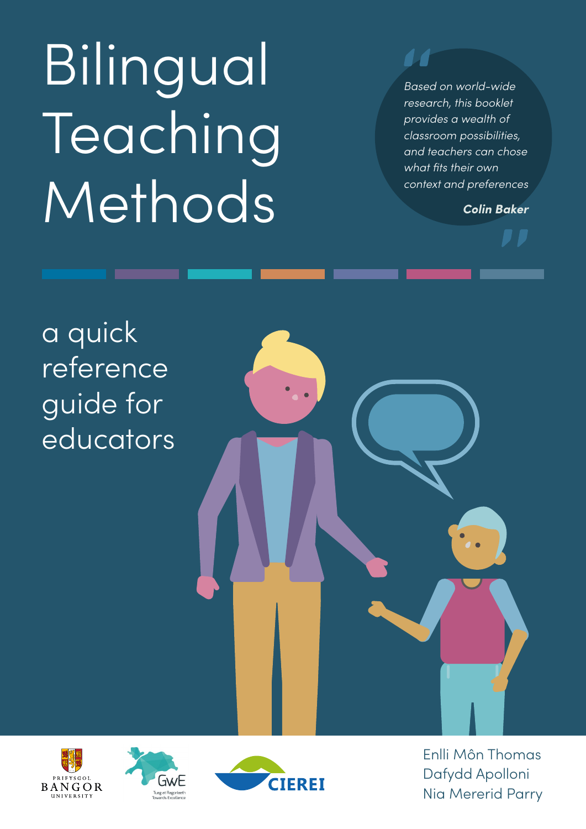Bilingual Teaching Methods



Based on world-wide research, this booklet provides a wealth of classroom possibilities, and teachers can chose what fits their own context and preferences

**Colin Baker**

a quick **reference** guide for educators







Enlli Môn Thomas Dafydd Apolloni Nia Mererid Parry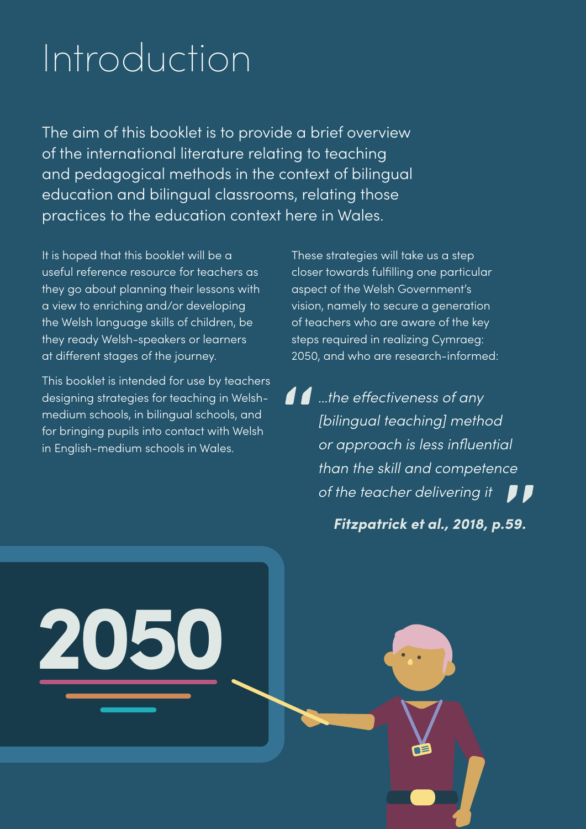# Introduction

The aim of this booklet is to provide a brief overview of the international literature relating to teaching and pedagogical methods in the context of bilingual education and bilingual classrooms, relating those practices to the education context here in Wales.

It is hoped that this booklet will be a useful reference resource for teachers as they go about planning their lessons with a view to enriching and/or developing the Welsh language skills of children, be they ready Welsh-speakers or learners at different stages of the journey.

This booklet is intended for use by teachers designing strategies for teaching in Welshmedium schools, in bilingual schools, and for bringing pupils into contact with Welsh in English-medium schools in Wales.

**2050**

These strategies will take us a step closer towards fulfilling one particular aspect of the Welsh Government's vision, namely to secure a generation of teachers who are aware of the key steps required in realizing Cymraeg: 2050, and who are research-informed:

**11** …the effectiveness of any [bilingual teaching] method or approach is less influential than the skill and competence of the teacher delivering it  $\blacksquare$ 

**Fitzpatrick et al., 2018, p.59.**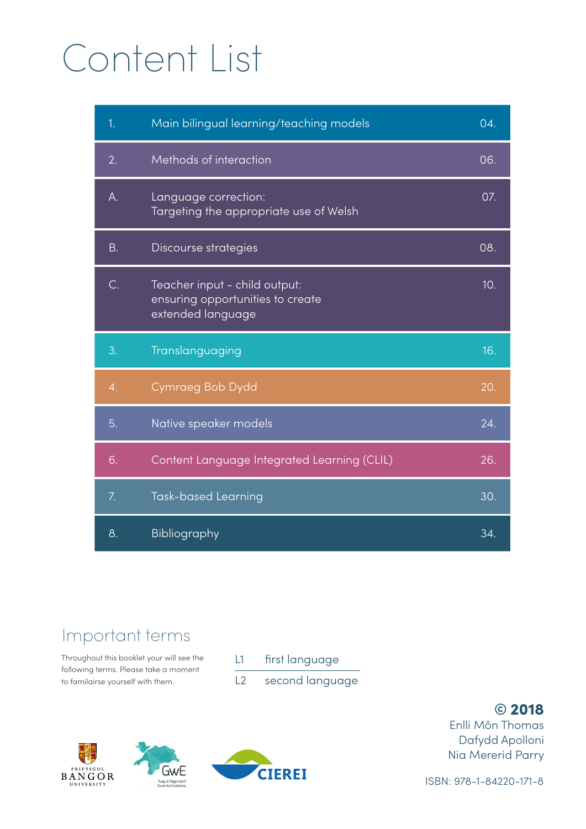# Content List

| 1.               | Main bilingual learning/teaching models                                                | 04. |
|------------------|----------------------------------------------------------------------------------------|-----|
| 2.               | Methods of interaction                                                                 | 06. |
| А.               | Language correction:<br>Targeting the appropriate use of Welsh                         | 07. |
| <b>B.</b>        | Discourse strategies                                                                   | 08. |
| C.               | Teacher input - child output:<br>ensuring opportunities to create<br>extended language | 10. |
|                  |                                                                                        |     |
| 3.               | Translanguaging                                                                        | 16. |
| $\overline{4}$ . | Cymraeg Bob Dydd                                                                       | 20. |
| 5.               | Native speaker models                                                                  | 24. |
| 6.               | Content Language Integrated Learning (CLIL)                                            | 26. |
| 7.               | <b>Task-based Learning</b>                                                             | 30. |

### Important terms

Throughout this booklet your will see the following terms. Please take a moment to familairse yourself with them.

- $L1$ first language
- $L<sub>2</sub>$ second language







© 2018 Enlli Môn Thomas Dafydd Apolloni Nia Mererid Parry

ISBN: 978-1-84220-171-8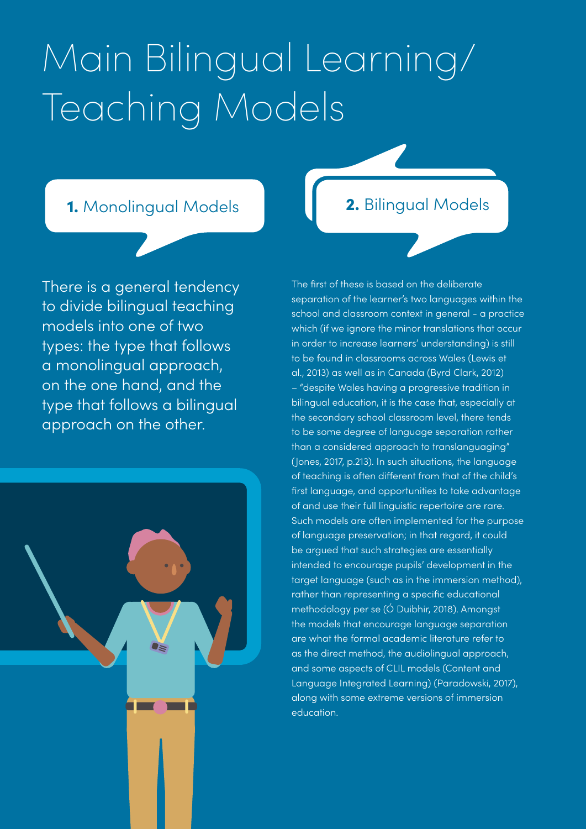# Main Bilingual Learning/ Teaching Models

### 1. Monolingual Models **2. Bilingual Models**

There is a general tendency to divide bilingual teaching models into one of two types: the type that follows a monolingual approach, on the one hand, and the type that follows a bilingual approach on the other.



The first of these is based on the deliberate separation of the learner's two languages within the school and classroom context in general - a practice which (if we ignore the minor translations that occur in order to increase learners' understanding) is still to be found in classrooms across Wales (Lewis et al., 2013) as well as in Canada (Byrd Clark, 2012) – "despite Wales having a progressive tradition in bilingual education, it is the case that, especially at the secondary school classroom level, there tends to be some degree of language separation rather than a considered approach to translanguaging" (Jones, 2017, p.213). In such situations, the language of teaching is often different from that of the child's first language, and opportunities to take advantage of and use their full linguistic repertoire are rare. Such models are often implemented for the purpose of language preservation; in that regard, it could be argued that such strategies are essentially intended to encourage pupils' development in the target language (such as in the immersion method), rather than representing a specific educational methodology per se (Ó Duibhir, 2018). Amongst the models that encourage language separation are what the formal academic literature refer to as the direct method, the audiolingual approach, and some aspects of CLIL models (Content and Language Integrated Learning) (Paradowski, 2017), along with some extreme versions of immersion education.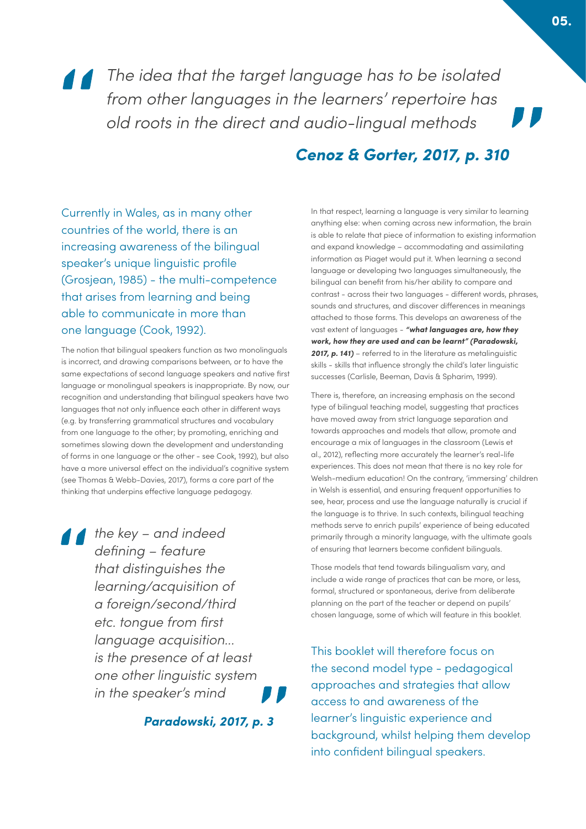The idea that the target language has to be isolated from other languages in the learners' repertoire has old roots in the direct and audio-lingual methods

### **Cenoz & Gorter, 2017, p. 310**

Currently in Wales, as in many other countries of the world, there is an increasing awareness of the bilingual speaker's unique linguistic profile (Grosjean, 1985) - the multi-competence that arises from learning and being able to communicate in more than one language (Cook, 1992).

The notion that bilingual speakers function as two monolinguals is incorrect, and drawing comparisons between, or to have the same expectations of second language speakers and native first language or monolingual speakers is inappropriate. By now, our recognition and understanding that bilingual speakers have two languages that not only influence each other in different ways (e.g. by transferring grammatical structures and vocabulary from one language to the other; by promoting, enriching and sometimes slowing down the development and understanding of forms in one language or the other - see Cook, 1992), but also have a more universal effect on the individual's cognitive system (see Thomas & Webb-Davies, 2017), forms a core part of the thinking that underpins effective language pedagogy.

 $\bigcup$  the key – and indeed defining – feature that distinguishes the learning/acquisition of a foreign/second/third etc. tongue from first language acquisition... is the presence of at least one other linguistic system in the speaker's mind

**Paradowski, 2017, p. 3**

In that respect, learning a language is very similar to learning anything else: when coming across new information, the brain is able to relate that piece of information to existing information and expand knowledge – accommodating and assimilating information as Piaget would put it. When learning a second language or developing two languages simultaneously, the bilingual can benefit from his/her ability to compare and contrast - across their two languages - different words, phrases, sounds and structures, and discover differences in meanings attached to those forms. This develops an awareness of the vast extent of languages - **"what languages are, how they work, how they are used and can be learnt" (Paradowski, 2017, p. 141)** – referred to in the literature as metalinguistic skills - skills that influence strongly the child's later linguistic successes (Carlisle, Beeman, Davis & Spharim, 1999).

There is, therefore, an increasing emphasis on the second type of bilingual teaching model, suggesting that practices have moved away from strict language separation and towards approaches and models that allow, promote and encourage a mix of languages in the classroom (Lewis et al., 2012), reflecting more accurately the learner's real-life experiences. This does not mean that there is no key role for Welsh-medium education! On the contrary, 'immersing' children in Welsh is essential, and ensuring frequent opportunities to see, hear, process and use the language naturally is crucial if the language is to thrive. In such contexts, bilingual teaching methods serve to enrich pupils' experience of being educated primarily through a minority language, with the ultimate goals of ensuring that learners become confident bilinguals.

Those models that tend towards bilingualism vary, and include a wide range of practices that can be more, or less, formal, structured or spontaneous, derive from deliberate planning on the part of the teacher or depend on pupils' chosen language, some of which will feature in this booklet.

This booklet will therefore focus on the second model type - pedagogical approaches and strategies that allow access to and awareness of the learner's linguistic experience and background, whilst helping them develop into confident bilingual speakers.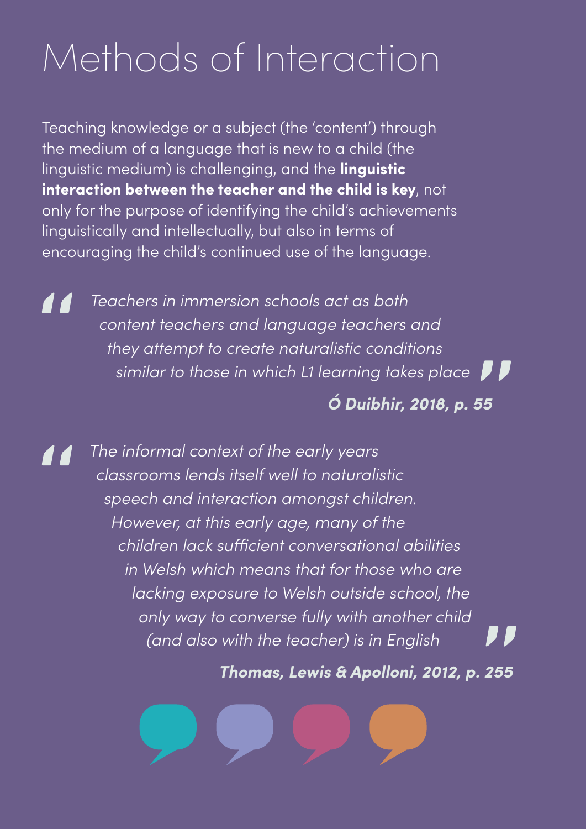# Methods of Interaction

Teaching knowledge or a subject (the 'content') through the medium of a language that is new to a child (the linguistic medium) is challenging, and the **linguistic interaction between the teacher and the child is key**, not only for the purpose of identifying the child's achievements linguistically and intellectually, but also in terms of encouraging the child's continued use of the language.

Teachers in immersion schools act as both 77 content teachers and language teachers and they attempt to create naturalistic conditions similar to those in which L1 learning takes place  $\blacksquare$ 

**Ó Duibhir, 2018, p. 55**

The informal context of the early years 77 classrooms lends itself well to naturalistic speech and interaction amongst children. However, at this early age, many of the children lack sufficient conversational abilities in Welsh which means that for those who are lacking exposure to Welsh outside school, the only way to converse fully with another child 7 7 (and also with the teacher) is in English

**Thomas, Lewis & Apolloni, 2012, p. 255**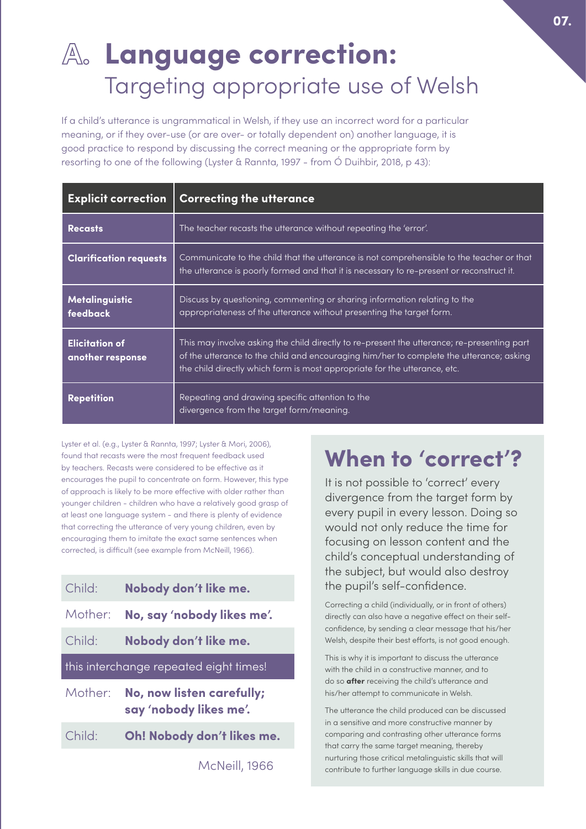# **Language correction:**  Targeting appropriate use of Welsh

If a child's utterance is ungrammatical in Welsh, if they use an incorrect word for a particular meaning, or if they over-use (or are over- or totally dependent on) another language, it is good practice to respond by discussing the correct meaning or the appropriate form by resorting to one of the following (Lyster & Rannta, 1997 - from Ó Duihbir, 2018, p 43):

| <b>Explicit correction</b>                | Correcting the utterance                                                                                                                                                                                                                                           |
|-------------------------------------------|--------------------------------------------------------------------------------------------------------------------------------------------------------------------------------------------------------------------------------------------------------------------|
| <b>Recasts</b>                            | The teacher recasts the utterance without repeating the 'error'.                                                                                                                                                                                                   |
| <b>Clarification requests</b>             | Communicate to the child that the utterance is not comprehensible to the teacher or that<br>the utterance is poorly formed and that it is necessary to re-present or reconstruct it.                                                                               |
| <b>Metalinguistic</b><br>feedback         | Discuss by questioning, commenting or sharing information relating to the<br>appropriateness of the utterance without presenting the target form.                                                                                                                  |
| <b>Elicitation of</b><br>another response | This may involve asking the child directly to re-present the utterance; re-presenting part<br>of the utterance to the child and encouraging him/her to complete the utterance; asking<br>the child directly which form is most appropriate for the utterance, etc. |
| <b>Repetition</b>                         | Repeating and drawing specific attention to the<br>divergence from the target form/meaning.                                                                                                                                                                        |

Lyster et al. (e.g., Lyster & Rannta, 1997; Lyster & Mori, 2006), found that recasts were the most frequent feedback used by teachers. Recasts were considered to be effective as it encourages the pupil to concentrate on form. However, this type of approach is likely to be more effective with older rather than younger children - children who have a relatively good grasp of at least one language system - and there is plenty of evidence that correcting the utterance of very young children, even by encouraging them to imitate the exact same sentences when corrected, is difficult (see example from McNeill, 1966).

| Child:                                 | Nobody don't like me.                               |  |
|----------------------------------------|-----------------------------------------------------|--|
| Mother:                                | No, say 'nobody likes me'.                          |  |
| Child:                                 | Nobody don't like me.                               |  |
| this interchange repeated eight times! |                                                     |  |
| Mother:                                | No, now listen carefully;<br>say 'nobody likes me'. |  |
| Child:                                 | Oh! Nobody don't likes me.                          |  |

McNeill, 1966

# **When to 'correct'?**

It is not possible to 'correct' every divergence from the target form by every pupil in every lesson. Doing so would not only reduce the time for focusing on lesson content and the child's conceptual understanding of the subject, but would also destroy the pupil's self-confidence.

Correcting a child (individually, or in front of others) directly can also have a negative effect on their selfconfidence, by sending a clear message that his/her Welsh, despite their best efforts, is not good enough.

This is why it is important to discuss the utterance with the child in a constructive manner, and to do so **after** receiving the child's utterance and his/her attempt to communicate in Welsh.

The utterance the child produced can be discussed in a sensitive and more constructive manner by comparing and contrasting other utterance forms that carry the same target meaning, thereby nurturing those critical metalinguistic skills that will contribute to further language skills in due course.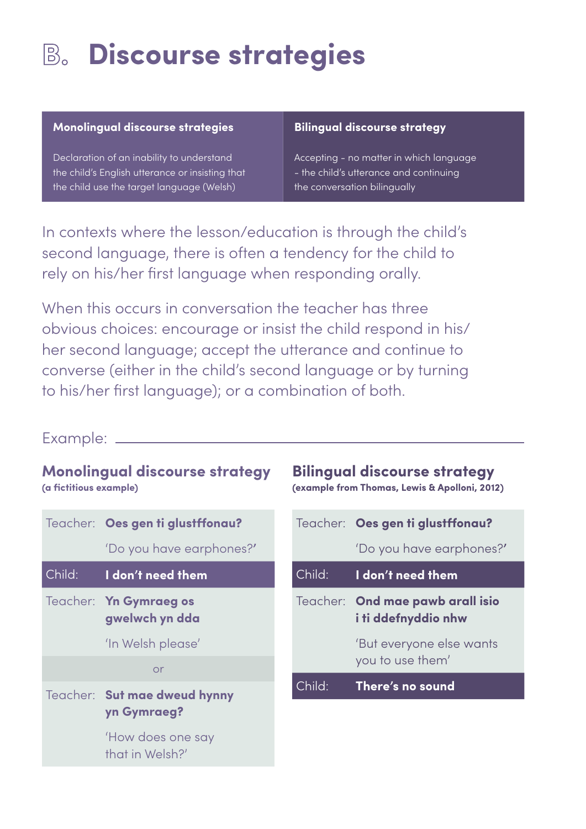# **Discourse strategies**

#### **Monolingual discourse strategies Bilingual discourse strategy**

Declaration of an inability to understand the child's English utterance or insisting that the child use the target language (Welsh)

Accepting - no matter in which language - the child's utterance and continuing the conversation bilingually

In contexts where the lesson/education is through the child's second language, there is often a tendency for the child to rely on his/her first language when responding orally.

When this occurs in conversation the teacher has three obvious choices: encourage or insist the child respond in his/ her second language; accept the utterance and continue to converse (either in the child's second language or by turning to his/her first language); or a combination of both.

#### Example:

#### **Monolingual discourse strategy (a fictitious example)**

|        | Teacher: Oes gen ti glustffonau?            |
|--------|---------------------------------------------|
|        | 'Do you have earphones?'                    |
| Child: | I don't need them                           |
|        | Teacher: Yn Gymraeg os<br>gwelwch yn dda    |
|        | 'In Welsh please'                           |
|        | or                                          |
|        | Teacher: Sut mae dweud hynny<br>yn Gymraeg? |
|        | 'How does one say<br>that in Welsh?'        |

# **Bilingual discourse strategy**

| (example from Thomas, Lewis & Apolloni, 2012) |  |
|-----------------------------------------------|--|
|-----------------------------------------------|--|

|        | Teacher: Oes gen ti glustffonau?                        |  |
|--------|---------------------------------------------------------|--|
|        | 'Do you have earphones?'                                |  |
| Child: | I don't need them                                       |  |
|        | Teacher: Ond mae pawb arall isio<br>i ti ddefnyddio nhw |  |
|        | 'But everyone else wants<br>you to use them'            |  |
| Child: | There's no sound                                        |  |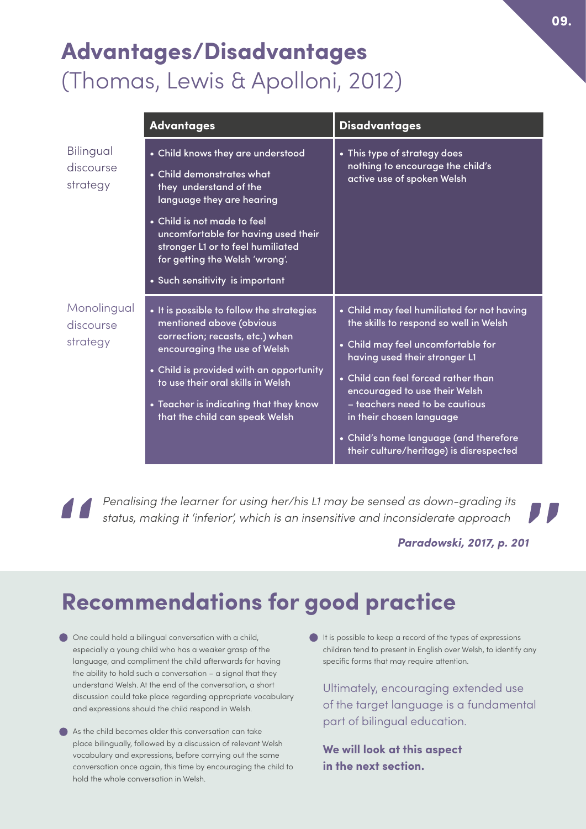# **Advantages/Disadvantages**  (Thomas, Lewis & Apolloni, 2012)

|                                      | <b>Advantages</b>                                                                                                                                                                                                                                                                                     | <b>Disadvantages</b>                                                                                                                                                                                                                                                                                                                                                                   |
|--------------------------------------|-------------------------------------------------------------------------------------------------------------------------------------------------------------------------------------------------------------------------------------------------------------------------------------------------------|----------------------------------------------------------------------------------------------------------------------------------------------------------------------------------------------------------------------------------------------------------------------------------------------------------------------------------------------------------------------------------------|
| Bilingual<br>discourse<br>strategy   | • Child knows they are understood<br>• Child demonstrates what<br>they understand of the<br>language they are hearing<br>• Child is not made to feel<br>uncomfortable for having used their<br>stronger L1 or to feel humiliated<br>for getting the Welsh 'wrong'.<br>• Such sensitivity is important | • This type of strategy does<br>nothing to encourage the child's<br>active use of spoken Welsh                                                                                                                                                                                                                                                                                         |
| Monolingual<br>discourse<br>strategy | • It is possible to follow the strategies<br>mentioned above (obvious<br>correction; recasts, etc.) when<br>encouraging the use of Welsh<br>• Child is provided with an opportunity<br>to use their oral skills in Welsh<br>• Teacher is indicating that they know<br>that the child can speak Welsh  | • Child may feel humiliated for not having<br>the skills to respond so well in Welsh<br>• Child may feel uncomfortable for<br>having used their stronger L1<br>• Child can feel forced rather than<br>encouraged to use their Welsh<br>- teachers need to be cautious<br>in their chosen language<br>• Child's home language (and therefore<br>their culture/heritage) is disrespected |

Penalising the learner for using her/his L1 may be sensed as down-grading its status, making it 'inferior', which is an insensitive and inconsiderate approach

#### **Paradowski, 2017, p. 201**

# **Recommendations for good practice**

• One could hold a bilingual conversation with a child, especially a young child who has a weaker grasp of the language, and compliment the child afterwards for having the ability to hold such a conversation – a signal that they understand Welsh. At the end of the conversation, a short discussion could take place regarding appropriate vocabulary and expressions should the child respond in Welsh.

• As the child becomes older this conversation can take place bilingually, followed by a discussion of relevant Welsh vocabulary and expressions, before carrying out the same conversation once again, this time by encouraging the child to hold the whole conversation in Welsh.

**• It is possible to keep a record of the types of expressions** children tend to present in English over Welsh, to identify any specific forms that may require attention.

Ultimately, encouraging extended use of the target language is a fundamental part of bilingual education.

**We will look at this aspect in the next section.**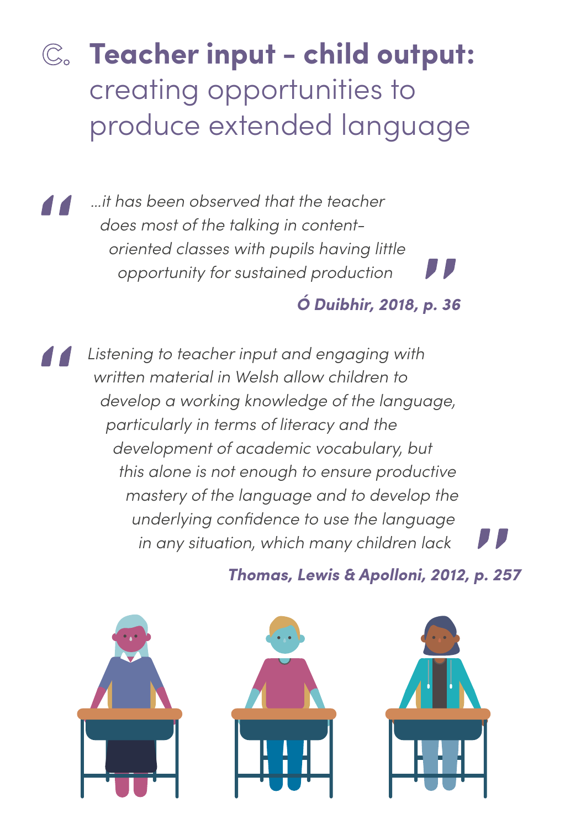# **Teacher input - child output:**  creating opportunities to produce extended language

…it has been observed that the teacher 44 does most of the talking in contentoriented classes with pupils having little opportunity for sustained production

### **Ó Duibhir, 2018, p. 36**

Listening to teacher input and engaging with written material in Welsh allow children to develop a working knowledge of the language, particularly in terms of literacy and the development of academic vocabulary, but this alone is not enough to ensure productive mastery of the language and to develop the underlying confidence to use the language in any situation, which many children lack

### **Thomas, Lewis & Apolloni, 2012, p. 257**

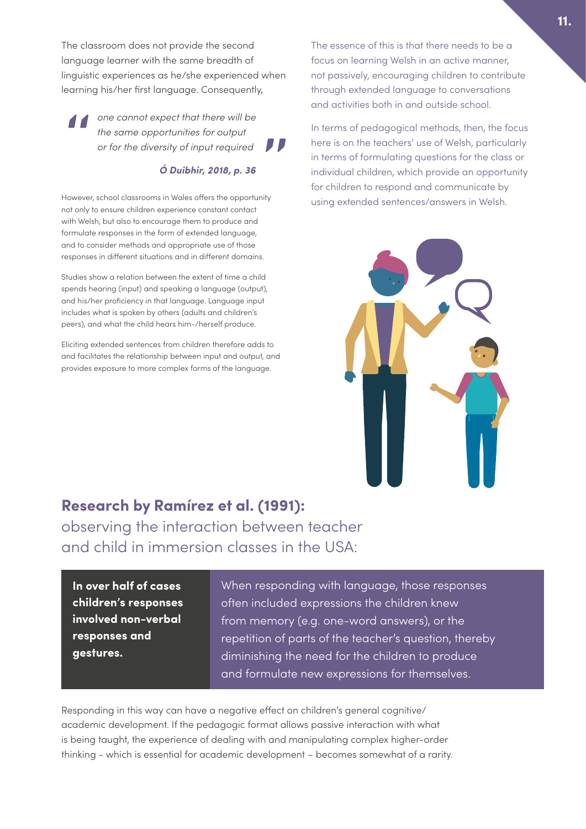The classroom does not provide the second language learner with the same breadth of linguistic experiences as he/she experienced when learning his/her first language. Consequently,

> one cannot expect that there will be the same opportunities for output or for the diversity of input required

#### **Ó Duibhir, 2018, p. 36**

However, school classrooms in Wales offers the opportunity not only to ensure children experience constant contact with Welsh, but also to encourage them to produce and formulate responses in the form of extended language, and to consider methods and appropriate use of those responses in different situations and in different domains.

Studies show a relation between the extent of time a child spends hearing (input) and speaking a language (output), and his/her proficiency in that language. Language input includes what is spoken by others (adults and children's peers), and what the child hears him-/herself produce.

Eliciting extended sentences from children therefore adds to and facilitates the relationship between input and output, and provides exposure to more complex forms of the language.

The essence of this is that there needs to be a focus on learning Welsh in an active manner, not passively, encouraging children to contribute through extended language to conversations and activities both in and outside school.

In terms of pedagogical methods, then, the focus here is on the teachers' use of Welsh, particularly in terms of formulating questions for the class or individual children, which provide an opportunity for children to respond and communicate by using extended sentences/answers in Welsh.



### **Research by Ramírez et al. (1991):**  observing the interaction between teacher

and child in immersion classes in the USA:

**In over half of cases children's responses involved non-verbal responses and gestures.**

When responding with language, those responses often included expressions the children knew from memory (e.g. one-word answers), or the repetition of parts of the teacher's question, thereby diminishing the need for the children to produce and formulate new expressions for themselves.

Responding in this way can have a negative effect on children's general cognitive/ academic development. If the pedagogic format allows passive interaction with what is being taught, the experience of dealing with and manipulating complex higher-order thinking - which is essential for academic development – becomes somewhat of a rarity.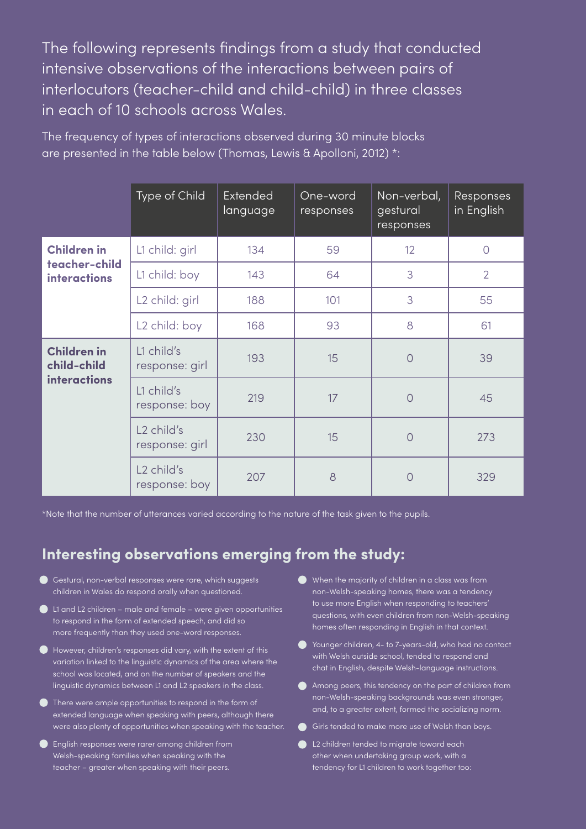The following represents findings from a study that conducted intensive observations of the interactions between pairs of interlocutors (teacher-child and child-child) in three classes in each of 10 schools across Wales.

|                                                          | Type of Child                            | <b>Extended</b><br>language | One-word<br>responses | Non-verbal,<br>gestural<br>responses | Responses<br>in English |
|----------------------------------------------------------|------------------------------------------|-----------------------------|-----------------------|--------------------------------------|-------------------------|
| <b>Children in</b>                                       | L1 child: girl                           | 134                         | 59                    | 12                                   | $\overline{O}$          |
| teacher-child<br><b>interactions</b>                     | L1 child: boy                            | 143                         | 64                    | 3                                    | $\overline{2}$          |
|                                                          | L <sub>2</sub> child: girl               | 188                         | 101                   | 3                                    | 55                      |
|                                                          | L <sub>2</sub> child: boy                | 168                         | 93                    | 8                                    | 61                      |
| <b>Children in</b><br>child-child<br><b>interactions</b> | L1 child's<br>response: girl             | 193                         | 15                    | $\overline{O}$                       | 39                      |
|                                                          | L1 child's<br>response: boy              | 219                         | 17                    | $\circ$                              | 45                      |
|                                                          | L <sub>2</sub> child's<br>response: girl | 230                         | 15                    | $\Omega$                             | 273                     |
|                                                          | L <sub>2</sub> child's<br>response: boy  | 207                         | 8                     | $\bigcap$                            | 329                     |

The frequency of types of interactions observed during 30 minute blocks are presented in the table below (Thomas, Lewis & Apolloni, 2012) \*:

\*Note that the number of utterances varied according to the nature of the task given to the pupils.

### **Interesting observations emerging from the study:**

- Gestural, non-verbal responses were rare, which suggests children in Wales do respond orally when questioned.
- L1 and L2 children male and female were given opportunities to respond in the form of extended speech, and did so more frequently than they used one-word responses.
- **However, children's responses did vary, with the extent of this** variation linked to the linguistic dynamics of the area where the school was located, and on the number of speakers and the linguistic dynamics between L1 and L2 speakers in the class.
- There were ample opportunities to respond in the form of extended language when speaking with peers, although there were also plenty of opportunities when speaking with the teacher.
- English responses were rarer among children from Welsh-speaking families when speaking with the teacher – greater when speaking with their peers.
- When the majority of children in a class was from non-Welsh-speaking homes, there was a tendency to use more English when responding to teachers' questions, with even children from non-Welsh-speaking homes often responding in English in that context.
- Younger children, 4- to 7-years-old, who had no contact with Welsh outside school, tended to respond and chat in English, despite Welsh-language instructions.
- Among peers, this tendency on the part of children from non-Welsh-speaking backgrounds was even stronger, and, to a greater extent, formed the socializing norm.
- Girls tended to make more use of Welsh than boys.
- **L2 children tended to migrate toward each** other when undertaking group work, with a tendency for L1 children to work together too: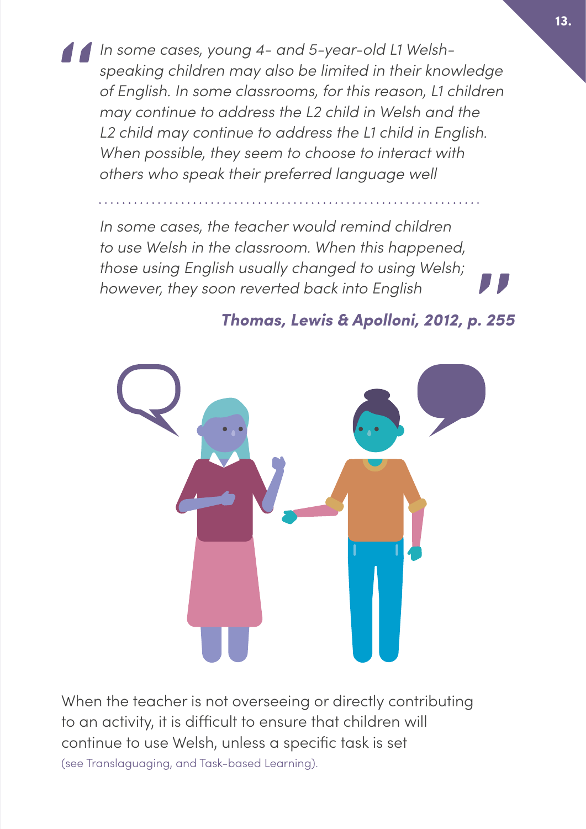In some cases, young 4- and 5-year-old L1 Welshspeaking children may also be limited in their knowledge of English. In some classrooms, for this reason, L1 children may continue to address the L2 child in Welsh and the L2 child may continue to address the L1 child in English. When possible, they seem to choose to interact with others who speak their preferred language well

In some cases, the teacher would remind children to use Welsh in the classroom. When this happened, those using English usually changed to using Welsh; however, they soon reverted back into English

## **Thomas, Lewis & Apolloni, 2012, p. 255**



When the teacher is not overseeing or directly contributing to an activity, it is difficult to ensure that children will continue to use Welsh, unless a specific task is set (see Translaguaging, and Task-based Learning).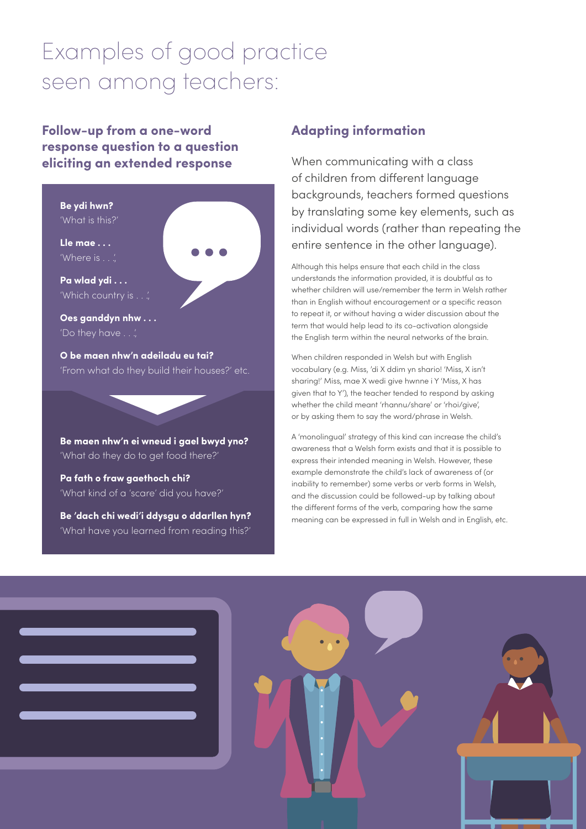# Examples of good practice seen among teachers:

#### **Follow-up from a one-word response question to a question eliciting an extended response** When communicating with a class



#### **Adapting information**

of children from different language backgrounds, teachers formed questions by translating some key elements, such as individual words (rather than repeating the entire sentence in the other language).

Although this helps ensure that each child in the class understands the information provided, it is doubtful as to whether children will use/remember the term in Welsh rather than in English without encouragement or a specific reason to repeat it, or without having a wider discussion about the term that would help lead to its co-activation alongside the English term within the neural networks of the brain.

When children responded in Welsh but with English vocabulary (e.g. Miss, 'di X ddim yn shario! 'Miss, X isn't sharing!' Miss, mae X wedi give hwnne i Y 'Miss, X has given that to Y'), the teacher tended to respond by asking whether the child meant 'rhannu/share' or 'rhoi/give', or by asking them to say the word/phrase in Welsh.

A 'monolingual' strategy of this kind can increase the child's awareness that a Welsh form exists and that it is possible to express their intended meaning in Welsh. However, these example demonstrate the child's lack of awareness of (or inability to remember) some verbs or verb forms in Welsh, and the discussion could be followed-up by talking about the different forms of the verb, comparing how the same meaning can be expressed in full in Welsh and in English, etc.

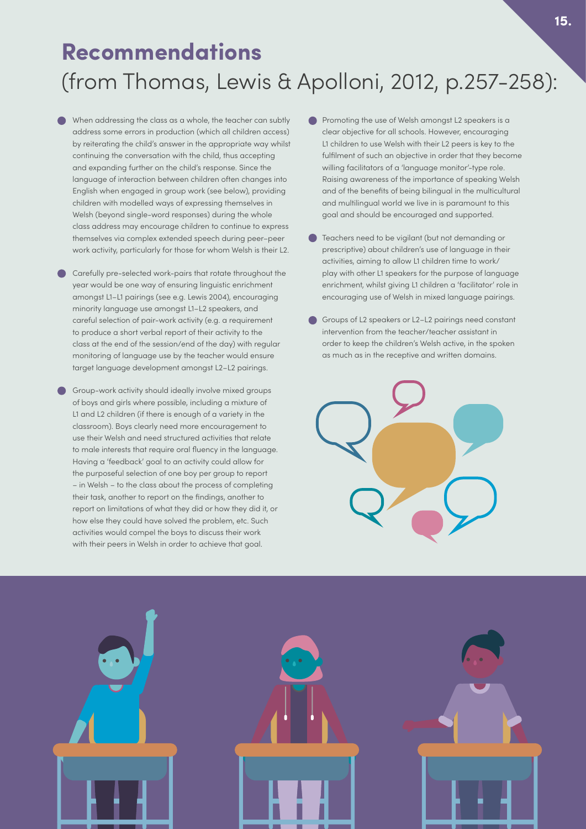# **Recommendations**  (from Thomas, Lewis & Apolloni, 2012, p.257-258):

- When addressing the class as a whole, the teacher can subtly address some errors in production (which all children access) by reiterating the child's answer in the appropriate way whilst continuing the conversation with the child, thus accepting and expanding further on the child's response. Since the language of interaction between children often changes into English when engaged in group work (see below), providing children with modelled ways of expressing themselves in Welsh (beyond single-word responses) during the whole class address may encourage children to continue to express themselves via complex extended speech during peer–peer work activity, particularly for those for whom Welsh is their L2.
- **Carefully pre-selected work-pairs that rotate throughout the** year would be one way of ensuring linguistic enrichment amongst L1–L1 pairings (see e.g. Lewis 2004), encouraging minority language use amongst L1–L2 speakers, and careful selection of pair-work activity (e.g. a requirement to produce a short verbal report of their activity to the class at the end of the session/end of the day) with regular monitoring of language use by the teacher would ensure target language development amongst L2–L2 pairings.
- Group-work activity should ideally involve mixed groups of boys and girls where possible, including a mixture of L1 and L2 children (if there is enough of a variety in the classroom). Boys clearly need more encouragement to use their Welsh and need structured activities that relate to male interests that require oral fluency in the language. Having a 'feedback' goal to an activity could allow for the purposeful selection of one boy per group to report – in Welsh – to the class about the process of completing their task, another to report on the findings, another to report on limitations of what they did or how they did it, or how else they could have solved the problem, etc. Such activities would compel the boys to discuss their work with their peers in Welsh in order to achieve that goal.
- Promoting the use of Welsh amongst L2 speakers is a clear objective for all schools. However, encouraging L1 children to use Welsh with their L2 peers is key to the fulfilment of such an objective in order that they become willing facilitators of a 'language monitor'-type role. Raising awareness of the importance of speaking Welsh and of the benefits of being bilingual in the multicultural and multilingual world we live in is paramount to this goal and should be encouraged and supported.
- Teachers need to be vigilant (but not demanding or prescriptive) about children's use of language in their activities, aiming to allow L1 children time to work/ play with other L1 speakers for the purpose of language enrichment, whilst giving L1 children a 'facilitator' role in encouraging use of Welsh in mixed language pairings.
- **Groups of L2 speakers or L2-L2 pairings need constant** intervention from the teacher/teacher assistant in order to keep the children's Welsh active, in the spoken as much as in the receptive and written domains.



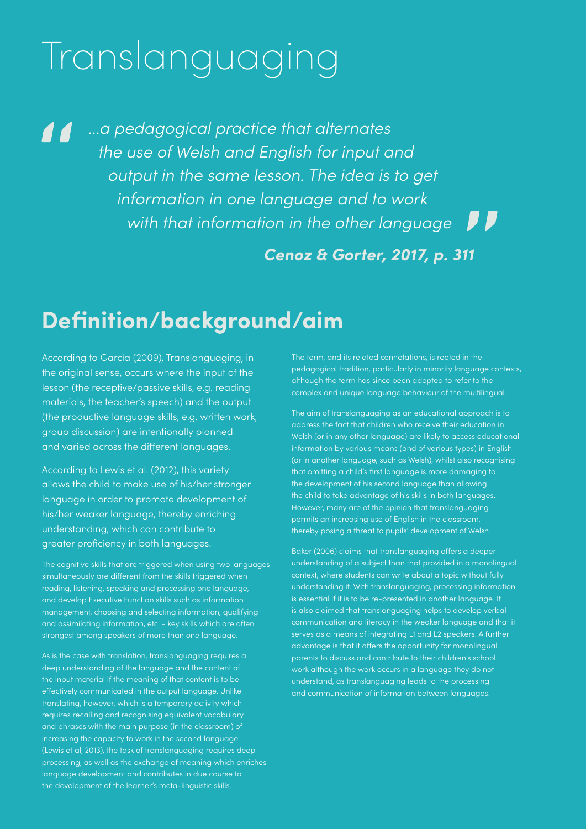# Translanguaging

...a pedagogical practice that alternates  $\blacksquare$ the use of Welsh and English for input and output in the same lesson. The idea is to get information in one language and to work ,,, with that information in the other language

**Cenoz & Gorter, 2017, p. 311** 

## **Definition/background/aim**

According to García (2009), Translanguaging, in the original sense, occurs where the input of the lesson (the receptive/passive skills, e.g. reading materials, the teacher's speech) and the output (the productive language skills, e.g. written work, group discussion) are intentionally planned and varied across the different languages.

According to Lewis et al. (2012), this variety allows the child to make use of his/her stronger language in order to promote development of his/her weaker language, thereby enriching understanding, which can contribute to greater proficiency in both languages.

The cognitive skills that are triggered when using two languages simultaneously are different from the skills triggered when reading, listening, speaking and processing one language, and develop Executive Function skills such as information management, choosing and selecting information, qualifying and assimilating information, etc. - key skills which are often strongest among speakers of more than one language.

As is the case with translation, translanguaging requires a deep understanding of the language and the content of the input material if the meaning of that content is to be effectively communicated in the output language. Unlike translating, however, which is a temporary activity which requires recalling and recognising equivalent vocabulary and phrases with the main purpose (in the classroom) of increasing the capacity to work in the second language (Lewis et al, 2013), the task of translanguaging requires deep processing, as well as the exchange of meaning which enriches language development and contributes in due course to the development of the learner's meta-linguistic skills.

The term, and its related connotations, is rooted in the pedagogical tradition, particularly in minority language contexts, although the term has since been adopted to refer to the complex and unique language behaviour of the multilingual.

The aim of translanguaging as an educational approach is to address the fact that children who receive their education in Welsh (or in any other language) are likely to access educational information by various means (and of various types) in English (or in another language, such as Welsh), whilst also recognising that omitting a child's first language is more damaging to the development of his second language than allowing the child to take advantage of his skills in both languages. However, many are of the opinion that translanguaging permits an increasing use of English in the classroom, thereby posing a threat to pupils' development of Welsh.

Baker (2006) claims that translanguaging offers a deeper understanding of a subject than that provided in a monolingual context, where students can write about a topic without fully understanding it. With translanguaging, processing information is essential if it is to be re-presented in another language. It is also claimed that translanguaging helps to develop verbal communication and literacy in the weaker language and that it serves as a means of integrating L1 and L2 speakers. A further advantage is that it offers the opportunity for monolingual parents to discuss and contribute to their children's school work although the work occurs in a language they do not understand, as translanguaging leads to the processing and communication of information between languages.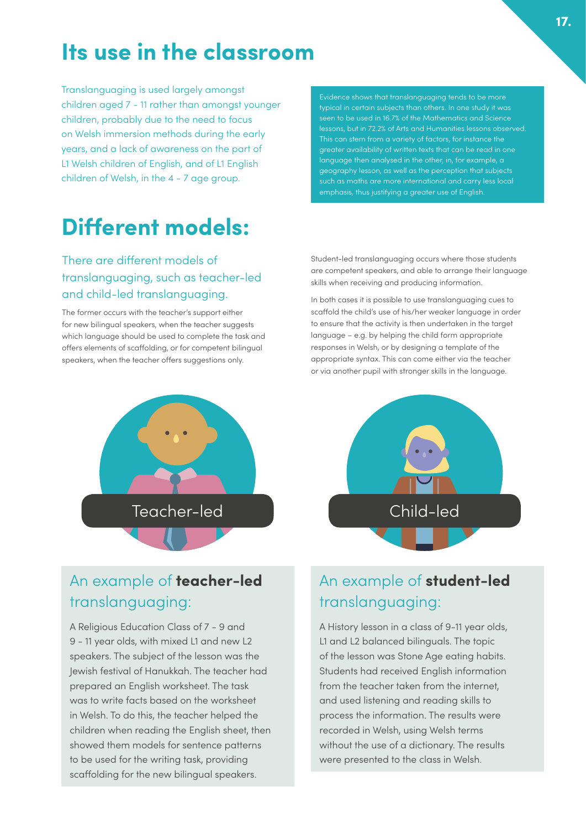# **Its use in the classroom**

Translanguaging is used largely amongst children aged 7 - 11 rather than amongst younger children, probably due to the need to focus on Welsh immersion methods during the early years, and a lack of awareness on the part of L1 Welsh children of English, and of L1 English children of Welsh, in the 4 - 7 age group.

# **Different models:**

There are different models of translanguaging, such as teacher-led and child-led translanguaging.

The former occurs with the teacher's support either for new bilingual speakers, when the teacher suggests which language should be used to complete the task and offers elements of scaffolding, or for competent bilingual speakers, when the teacher offers suggestions only.

Evidence shows that translanguaging tends to be more typical in certain subjects than others. In one study it was greater availability of written texts that can be read in one language then analysed in the other, in, for example, a geography lesson, as well as the perception that subjects emphasis, thus justifying a greater use of English.

Student-led translanguaging occurs where those students are competent speakers, and able to arrange their language skills when receiving and producing information.

In both cases it is possible to use translanguaging cues to scaffold the child's use of his/her weaker language in order to ensure that the activity is then undertaken in the target language – e.g. by helping the child form appropriate responses in Welsh, or by designing a template of the appropriate syntax. This can come either via the teacher or via another pupil with stronger skills in the language.



### An example of **teacher-led** translanguaging:

A Religious Education Class of 7 - 9 and 9 - 11 year olds, with mixed L1 and new L2 speakers. The subject of the lesson was the Jewish festival of Hanukkah. The teacher had prepared an English worksheet. The task was to write facts based on the worksheet in Welsh. To do this, the teacher helped the children when reading the English sheet, then showed them models for sentence patterns to be used for the writing task, providing scaffolding for the new bilingual speakers.



### An example of **student-led** translanguaging:

A History lesson in a class of 9-11 year olds, L1 and L2 balanced bilinguals. The topic of the lesson was Stone Age eating habits. Students had received English information from the teacher taken from the internet, and used listening and reading skills to process the information. The results were recorded in Welsh, using Welsh terms without the use of a dictionary. The results were presented to the class in Welsh.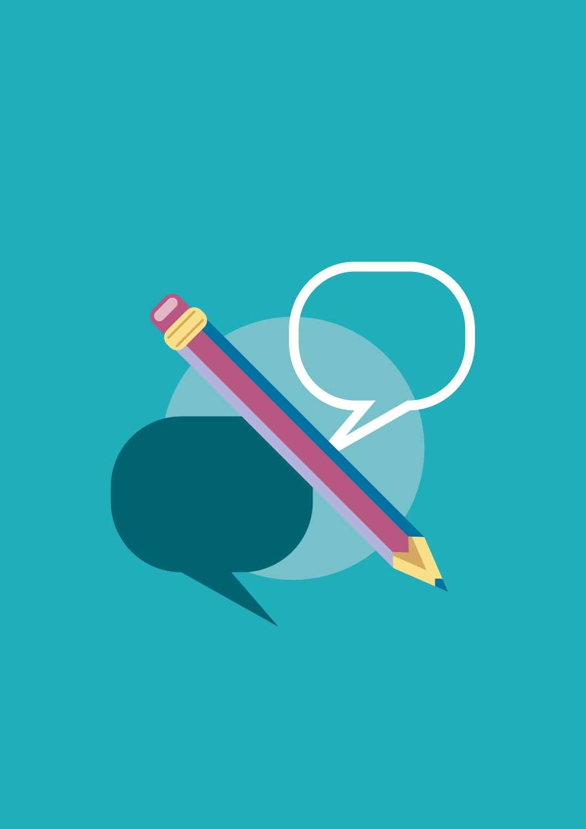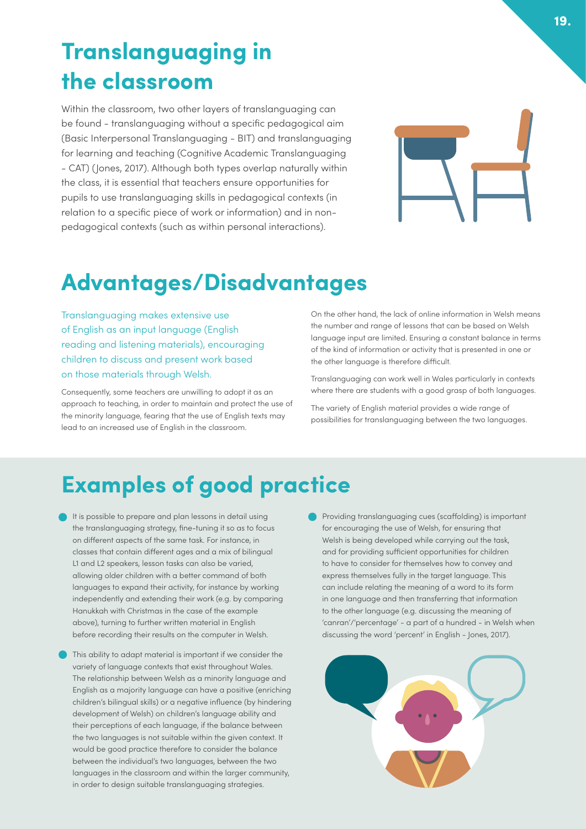# **Translanguaging in the classroom**

Within the classroom, two other layers of translanguaging can be found - translanguaging without a specific pedagogical aim (Basic Interpersonal Translanguaging - BIT) and translanguaging for learning and teaching (Cognitive Academic Translanguaging - CAT) (Jones, 2017). Although both types overlap naturally within the class, it is essential that teachers ensure opportunities for pupils to use translanguaging skills in pedagogical contexts (in relation to a specific piece of work or information) and in nonpedagogical contexts (such as within personal interactions).



## **Advantages/Disadvantages**

Translanguaging makes extensive use of English as an input language (English reading and listening materials), encouraging children to discuss and present work based on those materials through Welsh.

Consequently, some teachers are unwilling to adopt it as an approach to teaching, in order to maintain and protect the use of the minority language, fearing that the use of English texts may lead to an increased use of English in the classroom.

On the other hand, the lack of online information in Welsh means the number and range of lessons that can be based on Welsh language input are limited. Ensuring a constant balance in terms of the kind of information or activity that is presented in one or the other language is therefore difficult.

Translanguaging can work well in Wales particularly in contexts where there are students with a good grasp of both languages.

The variety of English material provides a wide range of possibilities for translanguaging between the two languages.

# **Examples of good practice**

- It is possible to prepare and plan lessons in detail using the translanguaging strategy, fine-tuning it so as to focus on different aspects of the same task. For instance, in classes that contain different ages and a mix of bilingual L1 and L2 speakers, lesson tasks can also be varied, allowing older children with a better command of both languages to expand their activity, for instance by working independently and extending their work (e.g. by comparing Hanukkah with Christmas in the case of the example above), turning to further written material in English before recording their results on the computer in Welsh.
- This ability to adapt material is important if we consider the variety of language contexts that exist throughout Wales. The relationship between Welsh as a minority language and English as a majority language can have a positive (enriching children's bilingual skills) or a negative influence (by hindering development of Welsh) on children's language ability and their perceptions of each language, if the balance between the two languages is not suitable within the given context. It would be good practice therefore to consider the balance between the individual's two languages, between the two languages in the classroom and within the larger community, in order to design suitable translanguaging strategies.
- Providing translanguaging cues (scaffolding) is important for encouraging the use of Welsh, for ensuring that Welsh is being developed while carrying out the task, and for providing sufficient opportunities for children to have to consider for themselves how to convey and express themselves fully in the target language. This can include relating the meaning of a word to its form in one language and then transferring that information to the other language (e.g. discussing the meaning of 'canran'/'percentage' - a part of a hundred - in Welsh when discussing the word 'percent' in English - Jones, 2017).

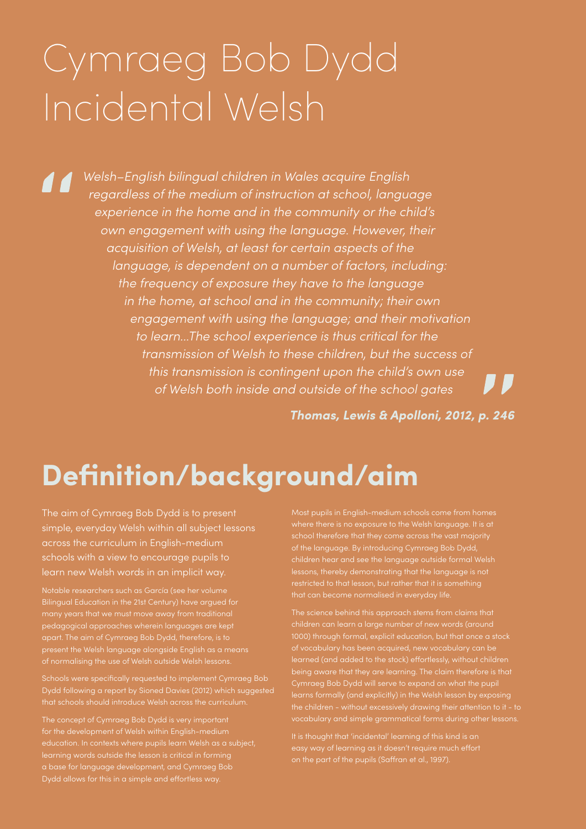# Cymraeg Bob Dydd Incidental Welsh

Welsh-English bilingual children in Wales acquire English regardless of the medium of instruction at school, language experience in the home and in the community or the child's own engagement with using the language. However, their acquisition of Welsh, at least for certain aspects of the language, is dependent on a number of factors, including: the frequency of exposure they have to the language in the home, at school and in the community; their own engagement with using the language; and their motivation to learn...The school experience is thus critical for the transmission of Welsh to these children, but the success of this transmission is contingent upon the child's own use of Welsh both inside and outside of the school gates

**Thomas, Lewis & Apolloni, 2012, p. 246**

7 D

# **Definition/background/aim**

The aim of Cymraeg Bob Dydd is to present simple, everyday Welsh within all subject lessons across the curriculum in English-medium schools with a view to encourage pupils to learn new Welsh words in an implicit way.

Notable researchers such as García (see her volume pedagogical approaches wherein languages are kept apart. The aim of Cymraeg Bob Dydd, therefore, is to present the Welsh language alongside English as a means

Schools were specifically requested to implement Cymraeg Bob Dydd following a report by Sioned Davies (2012) which suggested

The concept of Cymraeg Bob Dydd is very important for the development of Welsh within English-medium education. In contexts where pupils learn Welsh as a subject, a base for language development, and Cymraeg Bob

Most pupils in English-medium schools come from homes where there is no exposure to the Welsh language. It is at of the language. By introducing Cymraeg Bob Dydd, children hear and see the language outside formal Welsh lessons, thereby demonstrating that the language is not restricted to that lesson, but rather that it is something that can become normalised in everyday life.

children can learn a large number of new words (around Cymraeg Bob Dydd will serve to expand on what the pupil learns formally (and explicitly) in the Welsh lesson by exposing

It is thought that 'incidental' learning of this kind is an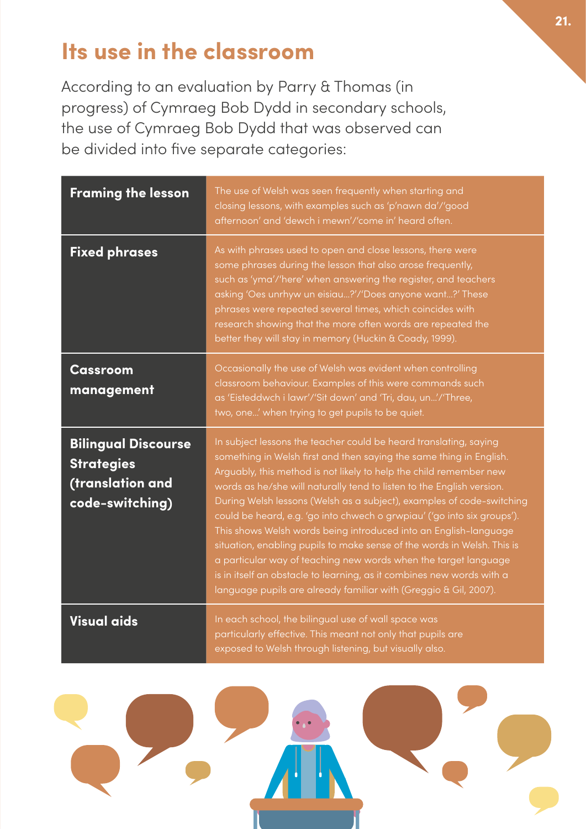# **Its use in the classroom**

According to an evaluation by Parry & Thomas (in progress) of Cymraeg Bob Dydd in secondary schools, the use of Cymraeg Bob Dydd that was observed can be divided into five separate categories:

| <b>Framing the lesson</b>                                                              | The use of Welsh was seen frequently when starting and<br>closing lessons, with examples such as 'p'nawn da'/'good<br>afternoon' and 'dewch i mewn'/'come in' heard often.                                                                                                                                                                                                                                                                                                                                                                                                                                                                                                                                                                                                                                 |
|----------------------------------------------------------------------------------------|------------------------------------------------------------------------------------------------------------------------------------------------------------------------------------------------------------------------------------------------------------------------------------------------------------------------------------------------------------------------------------------------------------------------------------------------------------------------------------------------------------------------------------------------------------------------------------------------------------------------------------------------------------------------------------------------------------------------------------------------------------------------------------------------------------|
| <b>Fixed phrases</b>                                                                   | As with phrases used to open and close lessons, there were<br>some phrases during the lesson that also arose frequently,<br>such as 'yma'/'here' when answering the register, and teachers<br>asking 'Oes unrhyw un eisiau?'/'Does anyone want?' These<br>phrases were repeated several times, which coincides with<br>research showing that the more often words are repeated the<br>better they will stay in memory (Huckin & Coady, 1999).                                                                                                                                                                                                                                                                                                                                                              |
| <b>Cassroom</b><br>management                                                          | Occasionally the use of Welsh was evident when controlling<br>classroom behaviour. Examples of this were commands such<br>as 'Eistedawch i lawr'/'Sit down' and 'Tri, dau, un'/'Three,<br>two, one' when trying to get pupils to be quiet.                                                                                                                                                                                                                                                                                                                                                                                                                                                                                                                                                                 |
| <b>Bilingual Discourse</b><br><b>Strategies</b><br>(translation and<br>code-switching) | In subject lessons the teacher could be heard translating, saying<br>something in Welsh first and then saying the same thing in English.<br>Arguably, this method is not likely to help the child remember new<br>words as he/she will naturally tend to listen to the English version.<br>During Welsh lessons (Welsh as a subject), examples of code-switching<br>could be heard, e.g. 'go into chwech o grwpiau' ('go into six groups').<br>This shows Welsh words being introduced into an English-language<br>situation, enabling pupils to make sense of the words in Welsh. This is<br>a particular way of teaching new words when the target language<br>is in itself an obstacle to learning, as it combines new words with a<br>language pupils are already familiar with (Greggio & Gil, 2007). |
| <b>Visual aids</b>                                                                     | In each school, the bilingual use of wall space was<br>particularly effective. This meant not only that pupils are<br>exposed to Welsh through listening, but visually also.                                                                                                                                                                                                                                                                                                                                                                                                                                                                                                                                                                                                                               |

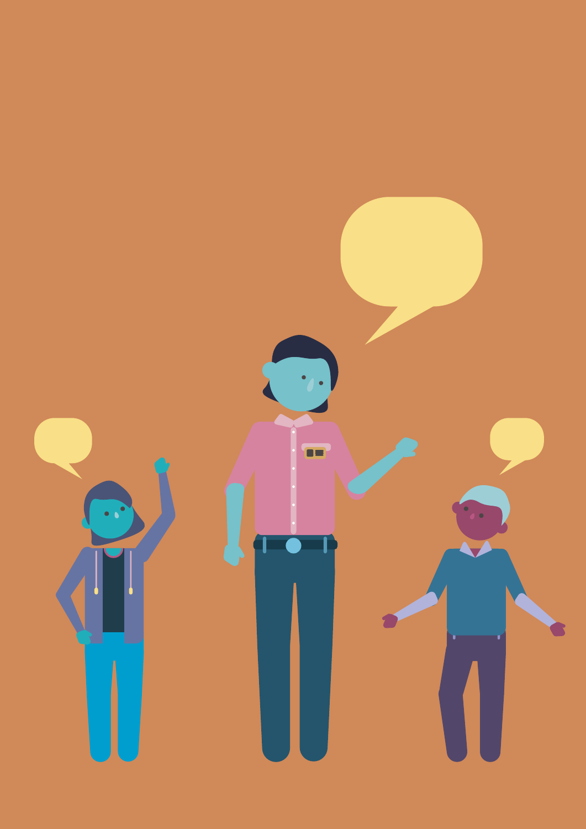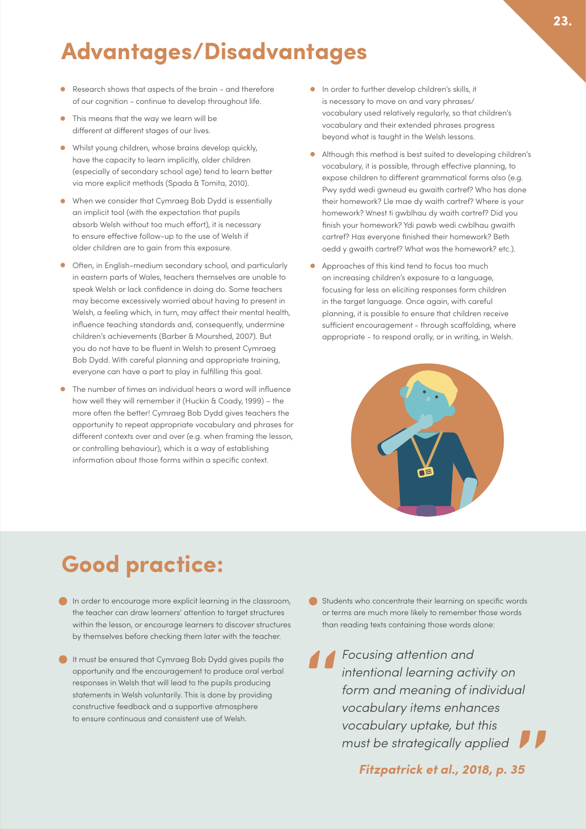# **Advantages/Disadvantages**

- Research shows that aspects of the brain and therefore of our cognition - continue to develop throughout life.
- This means that the way we learn will be different at different stages of our lives.
- Whilst young children, whose brains develop quickly, have the capacity to learn implicitly, older children (especially of secondary school age) tend to learn better via more explicit methods (Spada & Tomita, 2010).
- When we consider that Cymraeg Bob Dydd is essentially an implicit tool (with the expectation that pupils absorb Welsh without too much effort), it is necessary to ensure effective follow-up to the use of Welsh if older children are to gain from this exposure.
- Often, in English-medium secondary school, and particularly in eastern parts of Wales, teachers themselves are unable to speak Welsh or lack confidence in doing do. Some teachers may become excessively worried about having to present in Welsh, a feeling which, in turn, may affect their mental health, influence teaching standards and, consequently, undermine children's achievements (Barber & Mourshed, 2007). But you do not have to be fluent in Welsh to present Cymraeg Bob Dydd. With careful planning and appropriate training, everyone can have a part to play in fulfilling this goal.
- The number of times an individual hears a word will influence how well they will remember it (Huckin & Coady, 1999) – the more often the better! Cymraeg Bob Dydd gives teachers the opportunity to repeat appropriate vocabulary and phrases for different contexts over and over (e.g. when framing the lesson, or controlling behaviour), which is a way of establishing information about those forms within a specific context.
- In order to further develop children's skills, it is necessary to move on and vary phrases/ vocabulary used relatively regularly, so that children's vocabulary and their extended phrases progress beyond what is taught in the Welsh lessons.
- Although this method is best suited to developing children's vocabulary, it is possible, through effective planning, to expose children to different grammatical forms also (e.g. Pwy sydd wedi gwneud eu gwaith cartref? Who has done their homework? Lle mae dy waith cartref? Where is your homework? Wnest ti gwblhau dy waith cartref? Did you finish your homework? Ydi pawb wedi cwblhau gwaith cartref? Has everyone finished their homework? Beth oedd y gwaith cartref? What was the homework? etc.).
- Approaches of this kind tend to focus too much on increasing children's exposure to a language, focusing far less on eliciting responses form children in the target language. Once again, with careful planning, it is possible to ensure that children receive sufficient encouragement - through scaffolding, where appropriate - to respond orally, or in writing, in Welsh.



# **Good practice:**

- **In order to encourage more explicit learning in the classroom,** the teacher can draw learners' attention to target structures within the lesson, or encourage learners to discover structures by themselves before checking them later with the teacher.
- It must be ensured that Cymraeg Bob Dydd gives pupils the opportunity and the encouragement to produce oral verbal responses in Welsh that will lead to the pupils producing statements in Welsh voluntarily. This is done by providing constructive feedback and a supportive atmosphere to ensure continuous and consistent use of Welsh.
- **•** Students who concentrate their learning on specific words or terms are much more likely to remember those words than reading texts containing those words alone:

Focusing attention and intentional learning activity on form and meaning of individual vocabulary items enhances vocabulary uptake, but this must be strategically applied

**Fitzpatrick et al., 2018, p. 35**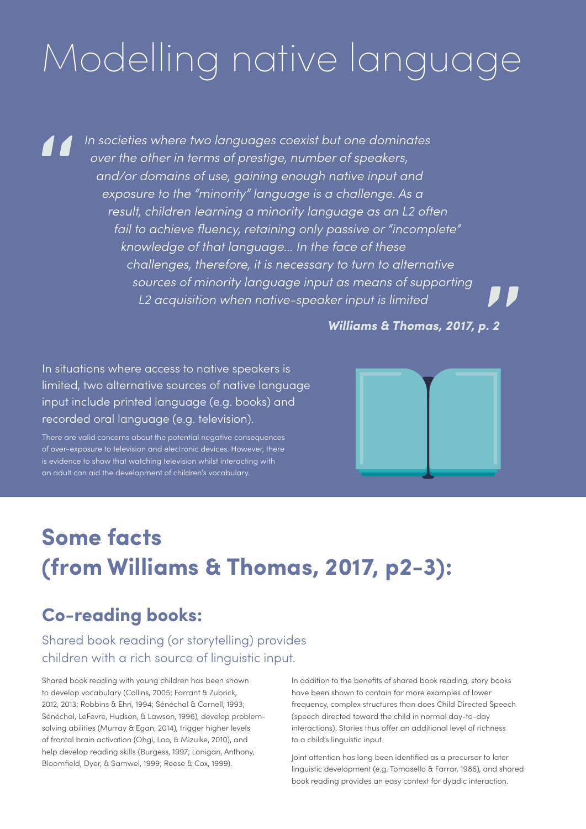# Modelling native language

In societies where two languages coexist but one dominates over the other in terms of prestige, number of speakers, and/or domains of use, gaining enough native input and exposure to the "minority" language is a challenge. As a result, children learning a minority language as an L2 often fail to achieve fluency, retaining only passive or "incomplete" knowledge of that language... In the face of these challenges, therefore, it is necessary to turn to alternative sources of minority language input as means of supporting L2 acquisition when native-speaker input is limited

**Williams & Thomas, 2017, p. 2**

In situations where access to native speakers is limited, two alternative sources of native language input include printed language (e.g. books) and recorded oral language (e.g. television).

There are valid concerns about the potential negative consequences of over-exposure to television and electronic devices. However, there is evidence to show that watching television whilst interacting with an adult can aid the development of children's vocabulary.

# **Some facts (from Williams & Thomas, 2017, p2-3):**

### **Co-reading books:**

Shared book reading (or storytelling) provides children with a rich source of linguistic input.

Shared book reading with young children has been shown to develop vocabulary (Collins, 2005; Farrant & Zubrick, 2012, 2013; Robbins & Ehri, 1994; Sénéchal & Cornell, 1993; Sénéchal, LeFevre, Hudson, & Lawson, 1996), develop problemsolving abilities (Murray & Egan, 2014), trigger higher levels of frontal brain activation (Ohgi, Loo, & Mizuike, 2010), and help develop reading skills (Burgess, 1997; Lonigan, Anthony, Bloomfield, Dyer, & Samwel, 1999; Reese & Cox, 1999).

In addition to the benefits of shared book reading, story books have been shown to contain far more examples of lower frequency, complex structures than does Child Directed Speech (speech directed toward the child in normal day-to-day interactions). Stories thus offer an additional level of richness to a child's linguistic input.

Joint attention has long been identified as a precursor to later linguistic development (e.g. Tomasello & Farrar, 1986), and shared book reading provides an easy context for dyadic interaction.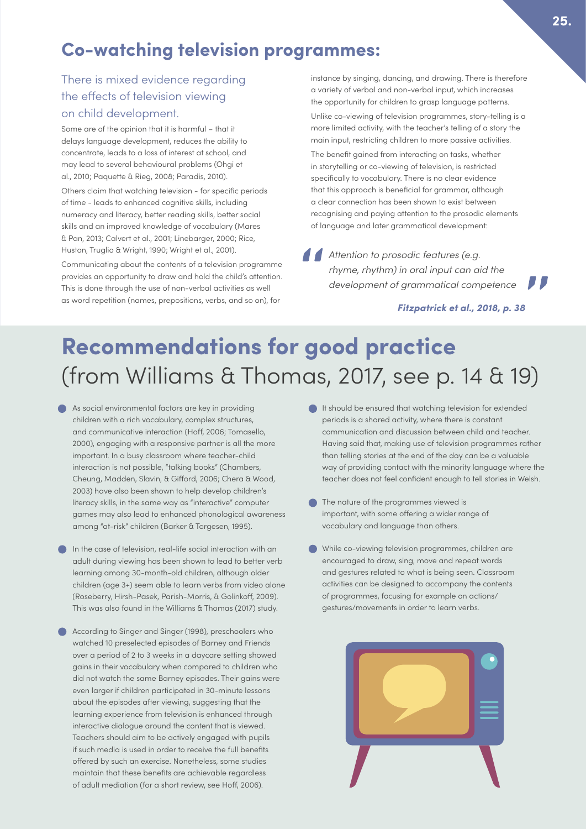## **Co-watching television programmes:**

#### There is mixed evidence regarding the effects of television viewing on child development.

Some are of the opinion that it is harmful – that it delays language development, reduces the ability to concentrate, leads to a loss of interest at school, and may lead to several behavioural problems (Ohgi et al., 2010; Paquette & Rieg, 2008; Paradis, 2010).

Others claim that watching television - for specific periods of time - leads to enhanced cognitive skills, including numeracy and literacy, better reading skills, better social skills and an improved knowledge of vocabulary (Mares & Pan, 2013; Calvert et al., 2001; Linebarger, 2000; Rice, Huston, Truglio & Wright, 1990; Wright et al., 2001).

Communicating about the contents of a television programme provides an opportunity to draw and hold the child's attention. This is done through the use of non-verbal activities as well as word repetition (names, prepositions, verbs, and so on), for

instance by singing, dancing, and drawing. There is therefore a variety of verbal and non-verbal input, which increases the opportunity for children to grasp language patterns.

Unlike co-viewing of television programmes, story-telling is a more limited activity, with the teacher's telling of a story the main input, restricting children to more passive activities.

The benefit gained from interacting on tasks, whether in storytelling or co-viewing of television, is restricted specifically to vocabulary. There is no clear evidence that this approach is beneficial for grammar, although a clear connection has been shown to exist between recognising and paying attention to the prosodic elements of language and later grammatical development:

Attention to prosodic features (e.g. rhyme, rhythm) in oral input can aid the development of grammatical competence

**Fitzpatrick et al., 2018, p. 38**

# **Recommendations for good practice**  (from Williams & Thomas, 2017, see p. 14 & 19)

- As social environmental factors are key in providing children with a rich vocabulary, complex structures, and communicative interaction (Hoff, 2006; Tomasello, 2000), engaging with a responsive partner is all the more important. In a busy classroom where teacher-child interaction is not possible, "talking books" (Chambers, Cheung, Madden, Slavin, & Gifford, 2006; Chera & Wood, 2003) have also been shown to help develop children's literacy skills, in the same way as "interactive" computer games may also lead to enhanced phonological awareness among "at-risk" children (Barker & Torgesen, 1995).
- **In the case of television, real-life social interaction with an** adult during viewing has been shown to lead to better verb learning among 30-month-old children, although older children (age 3+) seem able to learn verbs from video alone (Roseberry, Hirsh-Pasek, Parish-Morris, & Golinkoff, 2009). This was also found in the Williams & Thomas (2017) study.
- According to Singer and Singer (1998), preschoolers who watched 10 preselected episodes of Barney and Friends over a period of 2 to 3 weeks in a daycare setting showed gains in their vocabulary when compared to children who did not watch the same Barney episodes. Their gains were even larger if children participated in 30-minute lessons about the episodes after viewing, suggesting that the learning experience from television is enhanced through interactive dialogue around the content that is viewed. Teachers should aim to be actively engaged with pupils if such media is used in order to receive the full benefits offered by such an exercise. Nonetheless, some studies maintain that these benefits are achievable regardless of adult mediation (for a short review, see Hoff, 2006).
- **It should be ensured that watching television for extended** periods is a shared activity, where there is constant communication and discussion between child and teacher. Having said that, making use of television programmes rather than telling stories at the end of the day can be a valuable way of providing contact with the minority language where the teacher does not feel confident enough to tell stories in Welsh.
- **•** The nature of the programmes viewed is important, with some offering a wider range of vocabulary and language than others.
- While co-viewing television programmes, children are encouraged to draw, sing, move and repeat words and gestures related to what is being seen. Classroom activities can be designed to accompany the contents of programmes, focusing for example on actions/ gestures/movements in order to learn verbs.

U D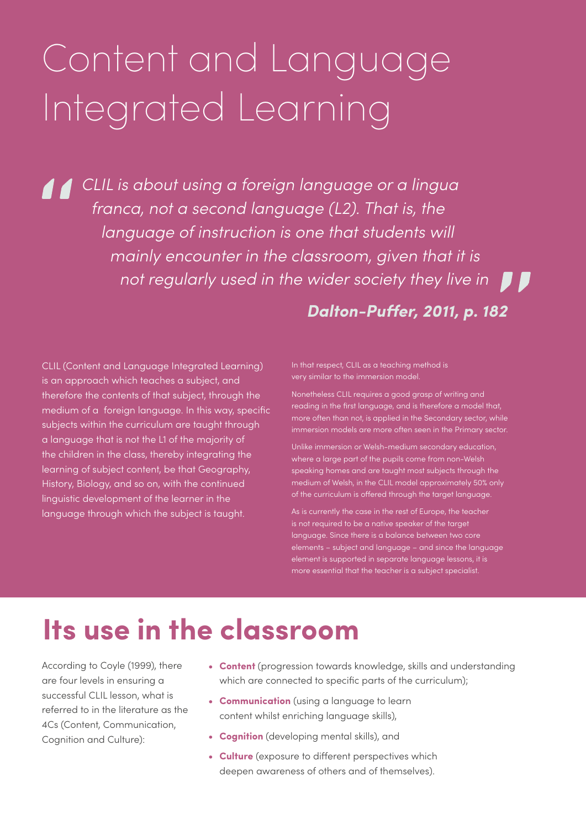# Content and Language Integrated Learning

CLIL is about using a foreign language or a lingua franca, not a second language (L2). That is, the language of instruction is one that students will mainly encounter in the classroom, given that it is not regularly used in the wider society they live in  $\blacksquare$ 

### **Dalton-Puffer, 2011, p. 182**

CLIL (Content and Language Integrated Learning) is an approach which teaches a subject, and therefore the contents of that subject, through the medium of a foreign language. In this way, specific subjects within the curriculum are taught through a language that is not the L1 of the majority of the children in the class, thereby integrating the learning of subject content, be that Geography, History, Biology, and so on, with the continued linguistic development of the learner in the language through which the subject is taught.

In that respect, CLIL as a teaching method is very similar to the immersion model.

Nonetheless CLIL requires a good grasp of writing and reading in the first language, and is therefore a model that, more often than not, is applied in the Secondary sector, while immersion models are more often seen in the Primary sector.

Unlike immersion or Welsh-medium secondary education, where a large part of the pupils come from non-Welsh speaking homes and are taught most subjects through the medium of Welsh, in the CLIL model approximately 50% only of the curriculum is offered through the target language.

As is currently the case in the rest of Europe, the teacher is not required to be a native speaker of the target language. Since there is a balance between two core elements – subject and language – and since the language element is supported in separate language lessons, it is more essential that the teacher is a subject specialist.

# **Its use in the classroom**

According to Coyle (1999), there are four levels in ensuring a successful CLIL lesson, what is referred to in the literature as the 4Cs (Content, Communication, Cognition and Culture):

- **• Content** (progression towards knowledge, skills and understanding which are connected to specific parts of the curriculum);
- **• Communication** (using a language to learn content whilst enriching language skills),
- **• Cognition** (developing mental skills), and
- **• Culture** (exposure to different perspectives which deepen awareness of others and of themselves).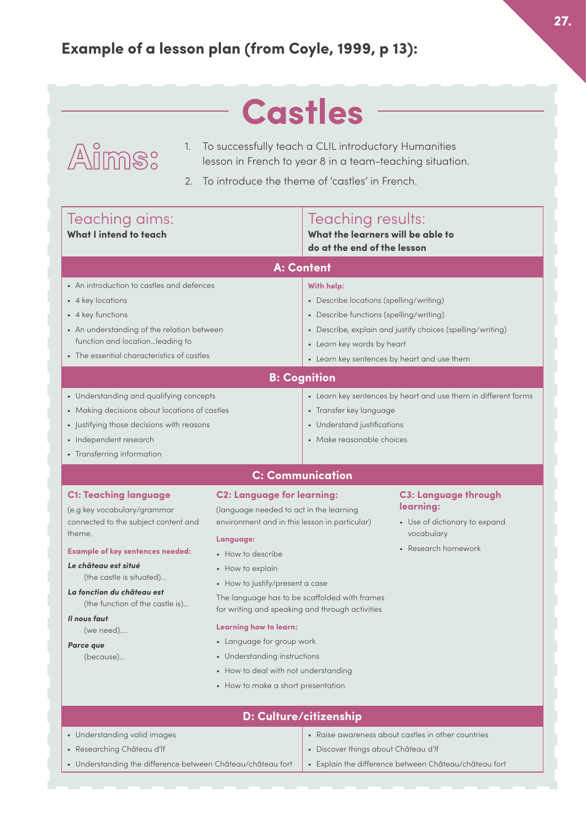# **Castles**

# Aims:

• Researching Château d'lf

• Understanding the difference between Château/château fort

- 1. To successfully teach a CLIL introductory Humanities lesson in French to year 8 in a team-teaching situation.
- 2. To introduce the theme of 'castles' in French.

| Teaching aims:<br>What I intend to teach                                                                                                                                                                                                                                                                                                                                              |                                                                                                                                                                                                                                                                                                                                                                                                                                                                                                 | Teaching results:<br>What the learners will be able to<br>do at the end of the lesson                                                                                                                                                                                                                                                                                                                                       |                                                                                                                |
|---------------------------------------------------------------------------------------------------------------------------------------------------------------------------------------------------------------------------------------------------------------------------------------------------------------------------------------------------------------------------------------|-------------------------------------------------------------------------------------------------------------------------------------------------------------------------------------------------------------------------------------------------------------------------------------------------------------------------------------------------------------------------------------------------------------------------------------------------------------------------------------------------|-----------------------------------------------------------------------------------------------------------------------------------------------------------------------------------------------------------------------------------------------------------------------------------------------------------------------------------------------------------------------------------------------------------------------------|----------------------------------------------------------------------------------------------------------------|
|                                                                                                                                                                                                                                                                                                                                                                                       |                                                                                                                                                                                                                                                                                                                                                                                                                                                                                                 | <b>A: Content</b>                                                                                                                                                                                                                                                                                                                                                                                                           |                                                                                                                |
| • An introduction to castles and defences<br>• 4 key locations<br>• 4 key functions<br>• An understanding of the relation between<br>function and locationleading to<br>• The essential characteristics of castles<br>• Understanding and qualifying concepts<br>• Making decisions about locations of castles<br>• Justifying those decisions with reasons<br>• Independent research |                                                                                                                                                                                                                                                                                                                                                                                                                                                                                                 | With help:<br>• Describe locations (spelling/writing)<br>• Describe functions (spelling/writing)<br>• Describe, explain and justify choices (spelling/writing)<br>• Learn key words by heart<br>• Learn key sentences by heart and use them<br><b>B: Cognition</b><br>• Learn key sentences by heart and use them in different forms<br>• Transfer key language<br>• Understand justifications<br>• Make reasonable choices |                                                                                                                |
| • Transferring information                                                                                                                                                                                                                                                                                                                                                            |                                                                                                                                                                                                                                                                                                                                                                                                                                                                                                 |                                                                                                                                                                                                                                                                                                                                                                                                                             |                                                                                                                |
|                                                                                                                                                                                                                                                                                                                                                                                       |                                                                                                                                                                                                                                                                                                                                                                                                                                                                                                 | <b>C: Communication</b>                                                                                                                                                                                                                                                                                                                                                                                                     |                                                                                                                |
| <b>C1: Teaching language</b><br>(e.g key vocabulary/grammar<br>connected to the subject content and<br>theme.<br><b>Example of key sentences needed:</b><br>Le château est situé<br>(the castle is situated)<br>La fonction du château est<br>(the function of the castle is)<br>Il nous faut<br>(we need)<br>Parce aue<br>(because)                                                  | <b>C2: Language for learning:</b><br>(language needed to act in the learning<br>environment and in this lesson in particular)<br>Language:<br>• How to describe<br>• How to explain<br>• How to justify/present a case<br>The language has to be scaffolded with frames<br>for writing and speaking and through activities<br>Learning how to learn:<br>• Language for group work<br>• Understanding instructions<br>• How to deal with not understanding<br>• How to make a short presentation |                                                                                                                                                                                                                                                                                                                                                                                                                             | <b>C3: Language through</b><br>learning:<br>• Use of dictionary to expand<br>vocabulary<br>• Research homework |
| • Understanding valid images                                                                                                                                                                                                                                                                                                                                                          |                                                                                                                                                                                                                                                                                                                                                                                                                                                                                                 | D: Culture/citizenship                                                                                                                                                                                                                                                                                                                                                                                                      | • Raise awareness about castles in other countries                                                             |

• Discover things about Château d'lf

• Explain the difference between Château/château fort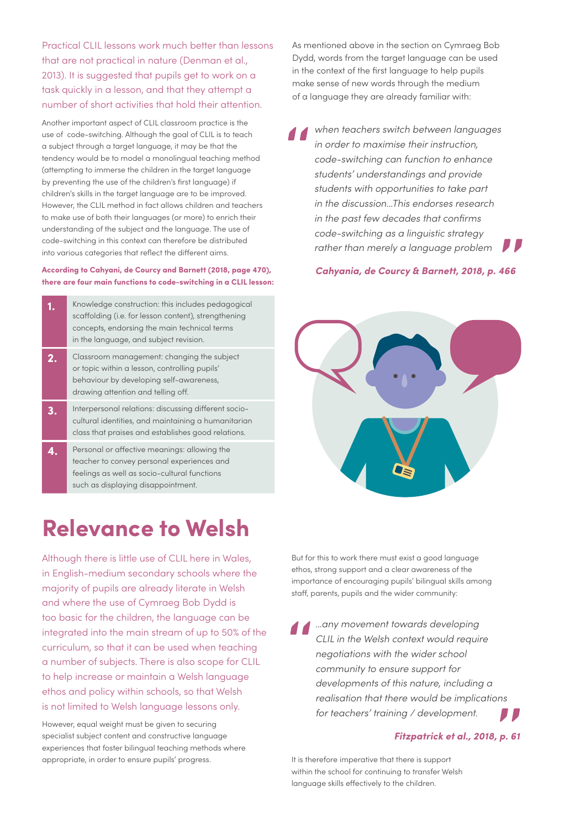Practical CLIL lessons work much better than lessons that are not practical in nature (Denman et al., 2013). It is suggested that pupils get to work on a task quickly in a lesson, and that they attempt a number of short activities that hold their attention.

Another important aspect of CLIL classroom practice is the use of code-switching. Although the goal of CLIL is to teach a subject through a target language, it may be that the tendency would be to model a monolingual teaching method (attempting to immerse the children in the target language by preventing the use of the children's first language) if children's skills in the target language are to be improved. However, the CLIL method in fact allows children and teachers to make use of both their languages (or more) to enrich their understanding of the subject and the language. The use of code-switching in this context can therefore be distributed into various categories that reflect the different aims.

#### **According to Cahyani, de Courcy and Barnett (2018, page 470), there are four main functions to code-switching in a CLIL lesson:**

|                | Knowledge construction: this includes pedagogical<br>scaffolding (i.e. for lesson content), strengthening<br>concepts, endorsing the main technical terms<br>in the language, and subject revision. |
|----------------|-----------------------------------------------------------------------------------------------------------------------------------------------------------------------------------------------------|
| $\mathbf{2}$ . | Classroom management: changing the subject<br>or topic within a lesson, controlling pupils'<br>behaviour by developing self-awareness,<br>drawing attention and telling off.                        |
| 3.             | Interpersonal relations: discussing different socio-<br>cultural identities, and maintaining a humanitarian<br>class that praises and establishes good relations.                                   |
|                | Personal or affective meanings: allowing the<br>teacher to convey personal experiences and<br>feelings as well as socio-cultural functions<br>such as displaying disappointment.                    |

## **Relevance to Welsh**

Although there is little use of CLIL here in Wales, in English-medium secondary schools where the majority of pupils are already literate in Welsh and where the use of Cymraeg Bob Dydd is too basic for the children, the language can be integrated into the main stream of up to 50% of the curriculum, so that it can be used when teaching a number of subjects. There is also scope for CLIL to help increase or maintain a Welsh language ethos and policy within schools, so that Welsh is not limited to Welsh language lessons only.

However, equal weight must be given to securing specialist subject content and constructive language experiences that foster bilingual teaching methods where appropriate, in order to ensure pupils' progress.

As mentioned above in the section on Cymraeg Bob Dydd, words from the target language can be used in the context of the first language to help pupils make sense of new words through the medium of a language they are already familiar with:

when teachers switch between languages in order to maximise their instruction, code-switching can function to enhance students' understandings and provide students with opportunities to take part in the discussion…This endorses research in the past few decades that confirms code-switching as a linguistic strategy rather than merely a language problem

**Cahyania, de Courcy & Barnett, 2018, p. 466**



But for this to work there must exist a good language ethos, strong support and a clear awareness of the importance of encouraging pupils' bilingual skills among staff, parents, pupils and the wider community:

…any movement towards developing CLIL in the Welsh context would require negotiations with the wider school community to ensure support for developments of this nature, including a realisation that there would be implications for teachers' training / development.

#### **Fitzpatrick et al., 2018, p. 61**

It is therefore imperative that there is support within the school for continuing to transfer Welsh language skills effectively to the children.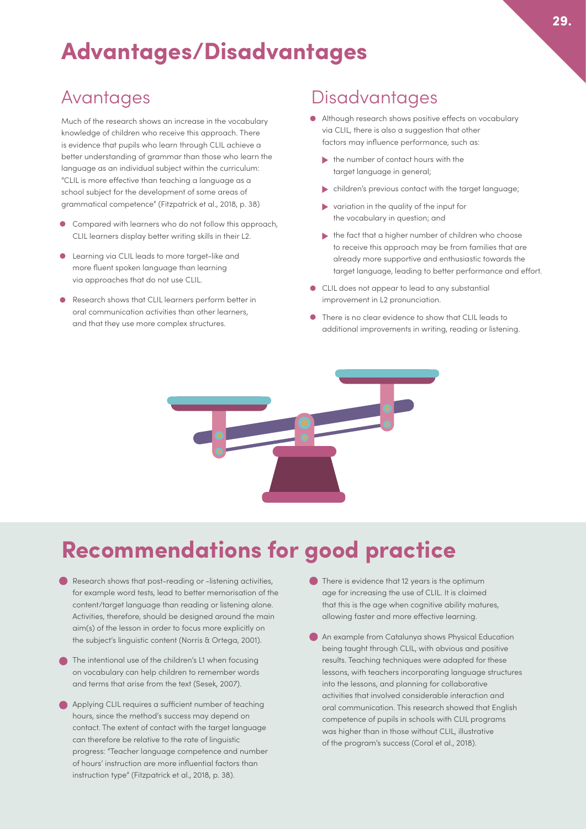# **Advantages/Disadvantages**

## Avantages

Much of the research shows an increase in the vocabulary knowledge of children who receive this approach. There is evidence that pupils who learn through CLIL achieve a better understanding of grammar than those who learn the language as an individual subject within the curriculum: "CLIL is more effective than teaching a language as a school subject for the development of some areas of grammatical competence" (Fitzpatrick et al., 2018, p. 38)

- Compared with learners who do not follow this approach, CLIL learners display better writing skills in their L2.
- Learning via CLIL leads to more target-like and more fluent spoken language than learning via approaches that do not use CLIL.
- Research shows that CLIL learners perform better in oral communication activities than other learners, and that they use more complex structures.

## **Disadvantages**

- Although research shows positive effects on vocabulary via CLIL, there is also a suggestion that other factors may influence performance, such as:
	- the number of contact hours with the target language in general;
	- children's previous contact with the target language;
	- variation in the quality of the input for the vocabulary in question; and
	- $\blacktriangleright$  the fact that a higher number of children who choose to receive this approach may be from families that are already more supportive and enthusiastic towards the target language, leading to better performance and effort.
- CLIL does not appear to lead to any substantial improvement in L2 pronunciation.
- There is no clear evidence to show that CLIL leads to additional improvements in writing, reading or listening.



# **Recommendations for good practice**

- Research shows that post-reading or -listening activities, for example word tests, lead to better memorisation of the content/target language than reading or listening alone. Activities, therefore, should be designed around the main aim(s) of the lesson in order to focus more explicitly on the subject's linguistic content (Norris & Ortega, 2001).
- **•** The intentional use of the children's L1 when focusing on vocabulary can help children to remember words and terms that arise from the text (Sesek, 2007).
- Applying CLIL requires a sufficient number of teaching hours, since the method's success may depend on contact. The extent of contact with the target language can therefore be relative to the rate of linguistic progress: "Teacher language competence and number of hours' instruction are more influential factors than instruction type" (Fitzpatrick et al., 2018, p. 38).
- **•** There is evidence that 12 years is the optimum age for increasing the use of CLIL. It is claimed that this is the age when cognitive ability matures, allowing faster and more effective learning.
- An example from Catalunya shows Physical Education being taught through CLIL, with obvious and positive results. Teaching techniques were adapted for these lessons, with teachers incorporating language structures into the lessons, and planning for collaborative activities that involved considerable interaction and oral communication. This research showed that English competence of pupils in schools with CLIL programs was higher than in those without CLIL, illustrative of the program's success (Coral et al., 2018).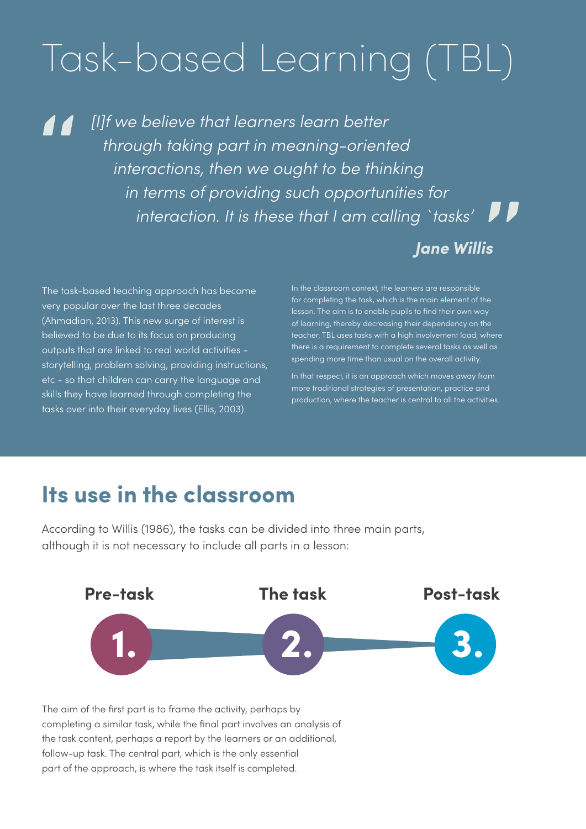# Task-based Learning (TBL)

[I]f we believe that learners learn better through taking part in meaning-oriented interactions, then we ought to be thinking in terms of providing such opportunities for " interaction. It is these that I am calling `tasks'

### **Jane Willis**

The task-based teaching approach has become very popular over the last three decades (Ahmadian, 2013). This new surge of interest is believed to be due to its focus on producing outputs that are linked to real world activities storytelling, problem solving, providing instructions, etc - so that children can carry the language and skills they have learned through completing the tasks over into their everyday lives (Ellis, 2003).

In the classroom context, the learners are responsible for completing the task, which is the main element of the lesson. The aim is to enable pupils to find their own way of learning, thereby decreasing their dependency on the teacher. TBL uses tasks with a high involvement load, where there is a requirement to complete several tasks as well as spending more time than usual on the overall activity.

In that respect, it is an approach which moves away from more traditional strategies of presentation, practice and production, where the teacher is central to all the activities.

## **Its use in the classroom**

According to Willis (1986), the tasks can be divided into three main parts, although it is not necessary to include all parts in a lesson:



The aim of the first part is to frame the activity, perhaps by completing a similar task, while the final part involves an analysis of the task content, perhaps a report by the learners or an additional, follow-up task. The central part, which is the only essential part of the approach, is where the task itself is completed.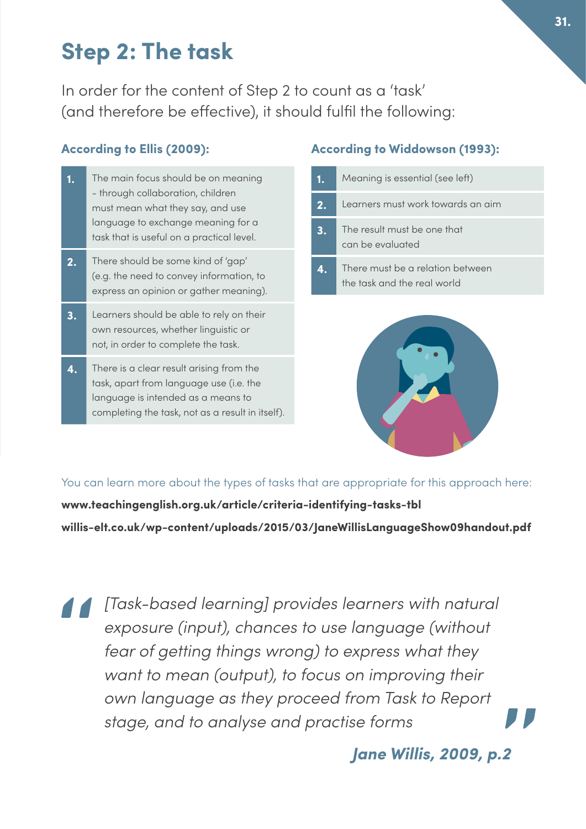# **Step 2: The task**

In order for the content of Step 2 to count as a 'task' (and therefore be effective), it should fulfil the following:

#### **According to Ellis (2009):**

| The main focus should be on meaning<br>- through collaboration, children                                            |
|---------------------------------------------------------------------------------------------------------------------|
| must mean what they say, and use<br>language to exchange meaning for a<br>task that is useful on a practical level. |
| There should be some kind of 'gap'                                                                                  |

- (e.g. the need to convey information, to express an opinion or gather meaning).
- **3.** Learners should be able to rely on their own resources, whether linguistic or not, in order to complete the task.
- **4.** There is a clear result arising from the task, apart from language use (i.e. the language is intended as a means to completing the task, not as a result in itself).

#### **According to Widdowson (1993):**

| 1. | Meaning is essential (see left)                                 |
|----|-----------------------------------------------------------------|
| 2. | Learners must work towards an aim                               |
| 3. | The result must be one that<br>can be evaluated                 |
| 4. | There must be a relation between<br>the task and the real world |



You can learn more about the types of tasks that are appropriate for this approach here:

**www.teachingenglish.org.uk/article/criteria-identifying-tasks-tbl willis-elt.co.uk/wp-content/uploads/2015/03/JaneWillisLanguageShow09handout.pdf**

[Task-based learning] provides learners with natural exposure (input), chances to use language (without fear of getting things wrong) to express what they want to mean (output), to focus on improving their own language as they proceed from Task to Report stage, and to analyse and practise forms

**Jane Willis, 2009, p.2**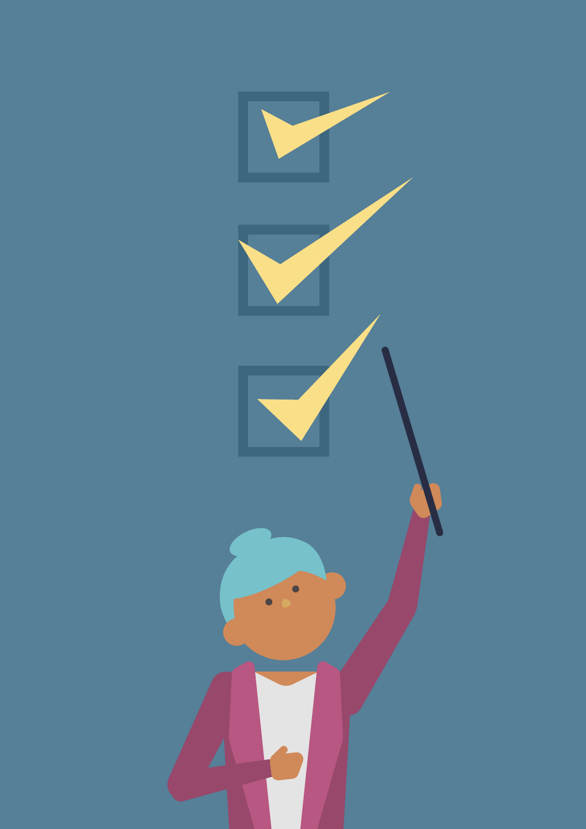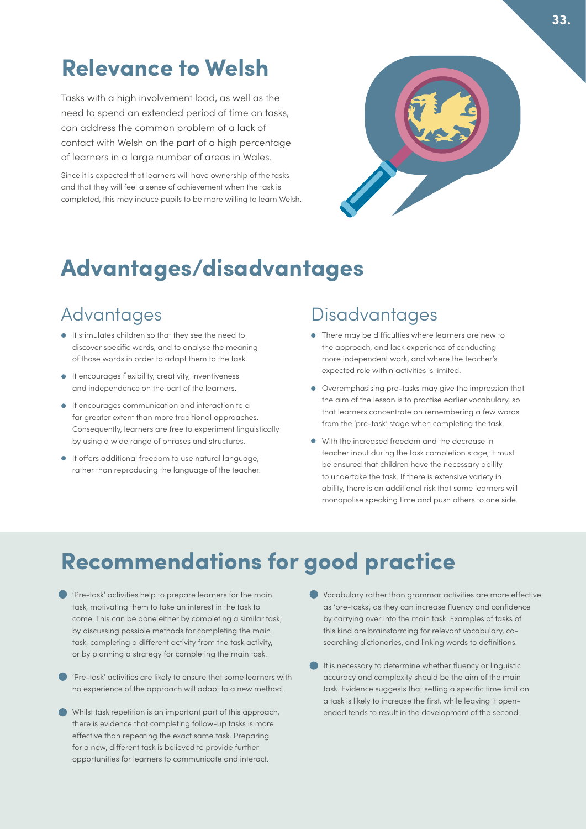# **Relevance to Welsh**

Tasks with a high involvement load, as well as the need to spend an extended period of time on tasks, can address the common problem of a lack of contact with Welsh on the part of a high percentage of learners in a large number of areas in Wales.

Since it is expected that learners will have ownership of the tasks and that they will feel a sense of achievement when the task is completed, this may induce pupils to be more willing to learn Welsh.



## **Advantages/disadvantages**

### Advantages

- It stimulates children so that they see the need to discover specific words, and to analyse the meaning of those words in order to adapt them to the task.
- It encourages flexibility, creativity, inventiveness and independence on the part of the learners.
- It encourages communication and interaction to a far greater extent than more traditional approaches. Consequently, learners are free to experiment linguistically by using a wide range of phrases and structures.
- It offers additional freedom to use natural language, rather than reproducing the language of the teacher.

### **Disadvantages**

- There may be difficulties where learners are new to the approach, and lack experience of conducting more independent work, and where the teacher's expected role within activities is limited.
- Overemphasising pre-tasks may give the impression that the aim of the lesson is to practise earlier vocabulary, so that learners concentrate on remembering a few words from the 'pre-task' stage when completing the task.
- With the increased freedom and the decrease in teacher input during the task completion stage, it must be ensured that children have the necessary ability to undertake the task. If there is extensive variety in ability, there is an additional risk that some learners will monopolise speaking time and push others to one side.

# **Recommendations for good practice**

- 'Pre-task' activities help to prepare learners for the main task, motivating them to take an interest in the task to come. This can be done either by completing a similar task, by discussing possible methods for completing the main task, completing a different activity from the task activity, or by planning a strategy for completing the main task.
- 'Pre-task' activities are likely to ensure that some learners with no experience of the approach will adapt to a new method.
- Whilst task repetition is an important part of this approach, there is evidence that completing follow-up tasks is more effective than repeating the exact same task. Preparing for a new, different task is believed to provide further opportunities for learners to communicate and interact.
- Vocabulary rather than grammar activities are more effective as 'pre-tasks', as they can increase fluency and confidence by carrying over into the main task. Examples of tasks of this kind are brainstorming for relevant vocabulary, cosearching dictionaries, and linking words to definitions.
- It is necessary to determine whether fluency or linguistic accuracy and complexity should be the aim of the main task. Evidence suggests that setting a specific time limit on a task is likely to increase the first, while leaving it openended tends to result in the development of the second.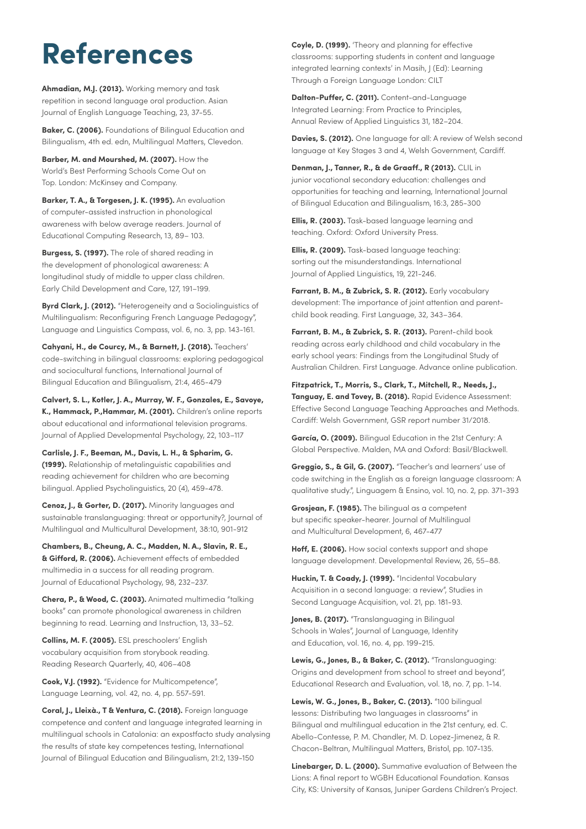# **References**

**Ahmadian, M.J. (2013).** Working memory and task repetition in second language oral production. Asian Journal of English Language Teaching, 23, 37-55.

**Baker, C. (2006).** Foundations of Bilingual Education and Bilingualism, 4th ed. edn, Multilingual Matters, Clevedon.

**Barber, M. and Mourshed, M. (2007).** How the World's Best Performing Schools Come Out on Top. London: McKinsey and Company.

**Barker, T. A., & Torgesen, J. K. (1995).** An evaluation of computer-assisted instruction in phonological awareness with below average readers. Journal of Educational Computing Research, 13, 89– 103.

**Burgess, S. (1997).** The role of shared reading in the development of phonological awareness: A longitudinal study of middle to upper class children. Early Child Development and Care, 127, 191–199.

**Byrd Clark, J. (2012).** "Heterogeneity and a Sociolinguistics of Multilingualism: Reconfiguring French Language Pedagogy", Language and Linguistics Compass, vol. 6, no. 3, pp. 143-161.

**Cahyani, H., de Courcy, M., & Barnett, J. (2018).** Teachers' code-switching in bilingual classrooms: exploring pedagogical and sociocultural functions, International Journal of Bilingual Education and Bilingualism, 21:4, 465-479

**Calvert, S. L., Kotler, J. A., Murray, W. F., Gonzales, E., Savoye, K., Hammack, P.,Hammar, M. (2001).** Children's online reports about educational and informational television programs. Journal of Applied Developmental Psychology, 22, 103–117

**Carlisle, J. F., Beeman, M., Davis, L. H., & Spharim, G. (1999).** Relationship of metalinguistic capabilities and reading achievement for children who are becoming bilingual. Applied Psycholinguistics, 20 (4), 459-478.

**Cenoz, J., & Gorter, D. (2017).** Minority languages and sustainable translanguaging: threat or opportunity?, Journal of Multilingual and Multicultural Development, 38:10, 901-912

**Chambers, B., Cheung, A. C., Madden, N. A., Slavin, R. E., & Gifford, R. (2006).** Achievement effects of embedded multimedia in a success for all reading program. Journal of Educational Psychology, 98, 232–237.

**Chera, P., & Wood, C. (2003).** Animated multimedia "talking books" can promote phonological awareness in children beginning to read. Learning and Instruction, 13, 33–52.

**Collins, M. F. (2005).** ESL preschoolers' English vocabulary acquisition from storybook reading. Reading Research Quarterly, 40, 406–408

**Cook, V.J. (1992).** "Evidence for Multicompetence", Language Learning, vol. 42, no. 4, pp. 557-591.

**Coral, J., Lleixà., T & Ventura, C. (2018).** Foreign language competence and content and language integrated learning in multilingual schools in Catalonia: an expostfacto study analysing the results of state key competences testing, International Journal of Bilingual Education and Bilingualism, 21:2, 139-150

**Coyle, D. (1999).** 'Theory and planning for effective classrooms: supporting students in content and language integrated learning contexts' in Masih, J (Ed): Learning Through a Foreign Language London: CILT

**Dalton-Puffer, C. (2011).** Content-and-Language Integrated Learning: From Practice to Principles, Annual Review of Applied Linguistics 31, 182–204.

**Davies, S. (2012).** One language for all: A review of Welsh second language at Key Stages 3 and 4, Welsh Government, Cardiff.

**Denman, J., Tanner, R., & de Graaff., R (2013).** CLIL in junior vocational secondary education: challenges and opportunities for teaching and learning, International Journal of Bilingual Education and Bilingualism, 16:3, 285-300

**Ellis, R. (2003).** Task-based language learning and teaching. Oxford: Oxford University Press.

**Ellis, R. (2009).** Task-based language teaching: sorting out the misunderstandings. International Journal of Applied Linguistics, 19, 221-246.

**Farrant, B. M., & Zubrick, S. R. (2012).** Early vocabulary development: The importance of joint attention and parentchild book reading. First Language, 32, 343–364.

**Farrant, B. M., & Zubrick, S. R. (2013).** Parent-child book reading across early childhood and child vocabulary in the early school years: Findings from the Longitudinal Study of Australian Children. First Language. Advance online publication.

**Fitzpatrick, T., Morris, S., Clark, T., Mitchell, R., Needs, J., Tanguay, E. and Tovey, B. (2018).** Rapid Evidence Assessment: Effective Second Language Teaching Approaches and Methods. Cardiff: Welsh Government, GSR report number 31/2018.

**García, O. (2009).** Bilingual Education in the 21st Century: A Global Perspective. Malden, MA and Oxford: Basil/Blackwell.

**Greggio, S., & Gil, G. (2007).** "Teacher's and learners' use of code switching in the English as a foreign language classroom: A qualitative study.", Linguagem & Ensino, vol. 10, no. 2, pp. 371-393

**Grosjean, F. (1985).** The bilingual as a competent but specific speaker-hearer. Journal of Multilingual and Multicultural Development, 6, 467-477

**Hoff, E. (2006).** How social contexts support and shape language development. Developmental Review, 26, 55–88.

Huckin, T. & Coady, J. (1999). "Incidental Vocabulary Acquisition in a second language: a review", Studies in Second Language Acquisition, vol. 21, pp. 181-93.

**Jones, B. (2017).** "Translanguaging in Bilingual Schools in Wales", Journal of Language, Identity and Education, vol. 16, no. 4, pp. 199-215.

**Lewis, G., Jones, B., & Baker, C. (2012).** "Translanguaging: Origins and development from school to street and beyond", Educational Research and Evaluation, vol. 18, no. 7, pp. 1-14.

**Lewis, W. G., Jones, B., Baker, C. (2013).** "100 bilingual lessons: Distributing two languages in classrooms" in Bilingual and multilingual education in the 21st century, ed. C. Abello-Contesse, P. M. Chandler, M. D. Lopez-Jimenez, & R. Chacon-Beltran, Multilingual Matters, Bristol, pp. 107-135.

**Linebarger, D. L. (2000).** Summative evaluation of Between the Lions: A final report to WGBH Educational Foundation. Kansas City, KS: University of Kansas, Juniper Gardens Children's Project.